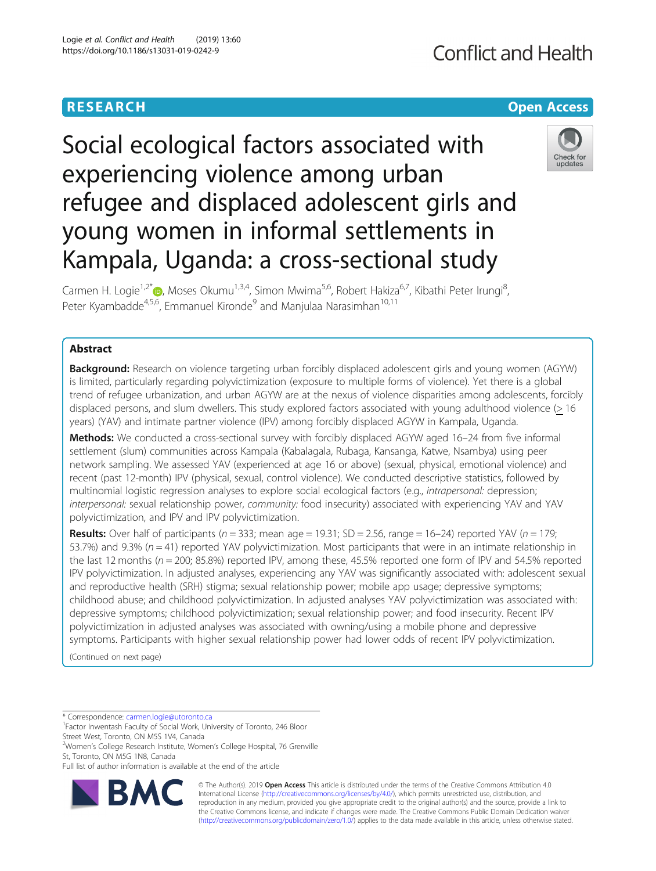# **RESEARCH CHE Open Access**

# Social ecological factors associated with experiencing violence among urban refugee and displaced adolescent girls and young women in informal settlements in Kampala, Uganda: a cross-sectional study



Carmen H. Logie<sup>1[,](http://orcid.org/0000-0002-8035-433X)2\*</sup> (b), Moses Okumu<sup>1,3,4</sup>, Simon Mwima<sup>5,6</sup>, Robert Hakiza<sup>6,7</sup>, Kibathi Peter Irungi<sup>8</sup>, , Peter Kyambadde<sup>4,5,6</sup>, Emmanuel Kironde<sup>9</sup> and Manjulaa Narasimhan<sup>10,11</sup>

# Abstract

**Background:** Research on violence targeting urban forcibly displaced adolescent girls and young women (AGYW) is limited, particularly regarding polyvictimization (exposure to multiple forms of violence). Yet there is a global trend of refugee urbanization, and urban AGYW are at the nexus of violence disparities among adolescents, forcibly displaced persons, and slum dwellers. This study explored factors associated with young adulthood violence (> 16 years) (YAV) and intimate partner violence (IPV) among forcibly displaced AGYW in Kampala, Uganda.

Methods: We conducted a cross-sectional survey with forcibly displaced AGYW aged 16–24 from five informal settlement (slum) communities across Kampala (Kabalagala, Rubaga, Kansanga, Katwe, Nsambya) using peer network sampling. We assessed YAV (experienced at age 16 or above) (sexual, physical, emotional violence) and recent (past 12-month) IPV (physical, sexual, control violence). We conducted descriptive statistics, followed by multinomial logistic regression analyses to explore social ecological factors (e.g., intrapersonal: depression; interpersonal: sexual relationship power, community: food insecurity) associated with experiencing YAV and YAV polyvictimization, and IPV and IPV polyvictimization.

**Results:** Over half of participants ( $n = 333$ ; mean age = 19.31; SD = 2.56, range = 16–24) reported YAV ( $n = 179$ ; 53.7%) and 9.3% ( $n = 41$ ) reported YAV polyvictimization. Most participants that were in an intimate relationship in the last 12 months ( $n = 200$ ; 85.8%) reported IPV, among these, 45.5% reported one form of IPV and 54.5% reported IPV polyvictimization. In adjusted analyses, experiencing any YAV was significantly associated with: adolescent sexual and reproductive health (SRH) stigma; sexual relationship power; mobile app usage; depressive symptoms; childhood abuse; and childhood polyvictimization. In adjusted analyses YAV polyvictimization was associated with: depressive symptoms; childhood polyvictimization; sexual relationship power; and food insecurity. Recent IPV polyvictimization in adjusted analyses was associated with owning/using a mobile phone and depressive symptoms. Participants with higher sexual relationship power had lower odds of recent IPV polyvictimization.

(Continued on next page)

\* Correspondence: [carmen.logie@utoronto.ca](mailto:carmen.logie@utoronto.ca) <sup>1</sup>

<sup>1</sup> Factor Inwentash Faculty of Social Work, University of Toronto, 246 Bloor Street West, Toronto, ON M5S 1V4, Canada

<sup>2</sup>Women's College Research Institute, Women's College Hospital, 76 Grenville St, Toronto, ON M5G 1N8, Canada

Full list of author information is available at the end of the article



© The Author(s). 2019 **Open Access** This article is distributed under the terms of the Creative Commons Attribution 4.0 International License [\(http://creativecommons.org/licenses/by/4.0/](http://creativecommons.org/licenses/by/4.0/)), which permits unrestricted use, distribution, and reproduction in any medium, provided you give appropriate credit to the original author(s) and the source, provide a link to the Creative Commons license, and indicate if changes were made. The Creative Commons Public Domain Dedication waiver [\(http://creativecommons.org/publicdomain/zero/1.0/](http://creativecommons.org/publicdomain/zero/1.0/)) applies to the data made available in this article, unless otherwise stated.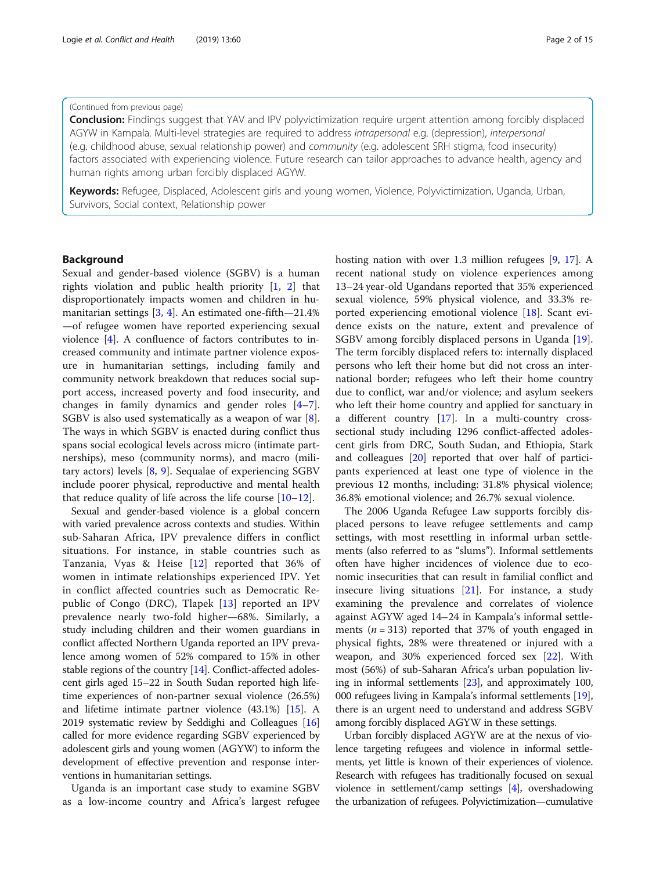# (Continued from previous page)

Conclusion: Findings suggest that YAV and IPV polyvictimization require urgent attention among forcibly displaced AGYW in Kampala. Multi-level strategies are required to address intrapersonal e.g. (depression), interpersonal (e.g. childhood abuse, sexual relationship power) and community (e.g. adolescent SRH stigma, food insecurity) factors associated with experiencing violence. Future research can tailor approaches to advance health, agency and human rights among urban forcibly displaced AGYW.

Keywords: Refugee, Displaced, Adolescent girls and young women, Violence, Polyvictimization, Uganda, Urban, Survivors, Social context, Relationship power

# Background

Sexual and gender-based violence (SGBV) is a human rights violation and public health priority [\[1,](#page-12-0) [2\]](#page-12-0) that disproportionately impacts women and children in humanitarian settings  $[3, 4]$  $[3, 4]$  $[3, 4]$  $[3, 4]$ . An estimated one-fifth—21.4% —of refugee women have reported experiencing sexual violence [[4](#page-13-0)]. A confluence of factors contributes to increased community and intimate partner violence exposure in humanitarian settings, including family and community network breakdown that reduces social support access, increased poverty and food insecurity, and changes in family dynamics and gender roles [\[4](#page-13-0)–[7](#page-13-0)]. SGBV is also used systematically as a weapon of war [\[8](#page-13-0)]. The ways in which SGBV is enacted during conflict thus spans social ecological levels across micro (intimate partnerships), meso (community norms), and macro (military actors) levels [[8,](#page-13-0) [9](#page-13-0)]. Sequalae of experiencing SGBV include poorer physical, reproductive and mental health that reduce quality of life across the life course  $[10-12]$  $[10-12]$  $[10-12]$  $[10-12]$  $[10-12]$ .

Sexual and gender-based violence is a global concern with varied prevalence across contexts and studies. Within sub-Saharan Africa, IPV prevalence differs in conflict situations. For instance, in stable countries such as Tanzania, Vyas & Heise [\[12](#page-13-0)] reported that 36% of women in intimate relationships experienced IPV. Yet in conflict affected countries such as Democratic Republic of Congo (DRC), Tlapek [[13\]](#page-13-0) reported an IPV prevalence nearly two-fold higher—68%. Similarly, a study including children and their women guardians in conflict affected Northern Uganda reported an IPV prevalence among women of 52% compared to 15% in other stable regions of the country [[14](#page-13-0)]. Conflict-affected adolescent girls aged 15–22 in South Sudan reported high lifetime experiences of non-partner sexual violence (26.5%) and lifetime intimate partner violence (43.1%) [\[15\]](#page-13-0). A 2019 systematic review by Seddighi and Colleagues [[16](#page-13-0)] called for more evidence regarding SGBV experienced by adolescent girls and young women (AGYW) to inform the development of effective prevention and response interventions in humanitarian settings.

Uganda is an important case study to examine SGBV as a low-income country and Africa's largest refugee hosting nation with over 1.3 million refugees [[9](#page-13-0), [17](#page-13-0)]. A recent national study on violence experiences among 13–24 year-old Ugandans reported that 35% experienced sexual violence, 59% physical violence, and 33.3% reported experiencing emotional violence [[18](#page-13-0)]. Scant evidence exists on the nature, extent and prevalence of SGBV among forcibly displaced persons in Uganda [\[19](#page-13-0)]. The term forcibly displaced refers to: internally displaced persons who left their home but did not cross an international border; refugees who left their home country due to conflict, war and/or violence; and asylum seekers who left their home country and applied for sanctuary in a different country [\[17\]](#page-13-0). In a multi-country crosssectional study including 1296 conflict-affected adolescent girls from DRC, South Sudan, and Ethiopia, Stark and colleagues [[20](#page-13-0)] reported that over half of participants experienced at least one type of violence in the previous 12 months, including: 31.8% physical violence; 36.8% emotional violence; and 26.7% sexual violence.

The 2006 Uganda Refugee Law supports forcibly displaced persons to leave refugee settlements and camp settings, with most resettling in informal urban settlements (also referred to as "slums"). Informal settlements often have higher incidences of violence due to economic insecurities that can result in familial conflict and insecure living situations [\[21](#page-13-0)]. For instance, a study examining the prevalence and correlates of violence against AGYW aged 14–24 in Kampala's informal settlements ( $n = 313$ ) reported that 37% of youth engaged in physical fights, 28% were threatened or injured with a weapon, and 30% experienced forced sex [[22](#page-13-0)]. With most (56%) of sub-Saharan Africa's urban population living in informal settlements [\[23](#page-13-0)], and approximately 100, 000 refugees living in Kampala's informal settlements [[19](#page-13-0)], there is an urgent need to understand and address SGBV among forcibly displaced AGYW in these settings.

Urban forcibly displaced AGYW are at the nexus of violence targeting refugees and violence in informal settlements, yet little is known of their experiences of violence. Research with refugees has traditionally focused on sexual violence in settlement/camp settings [[4](#page-13-0)], overshadowing the urbanization of refugees. Polyvictimization—cumulative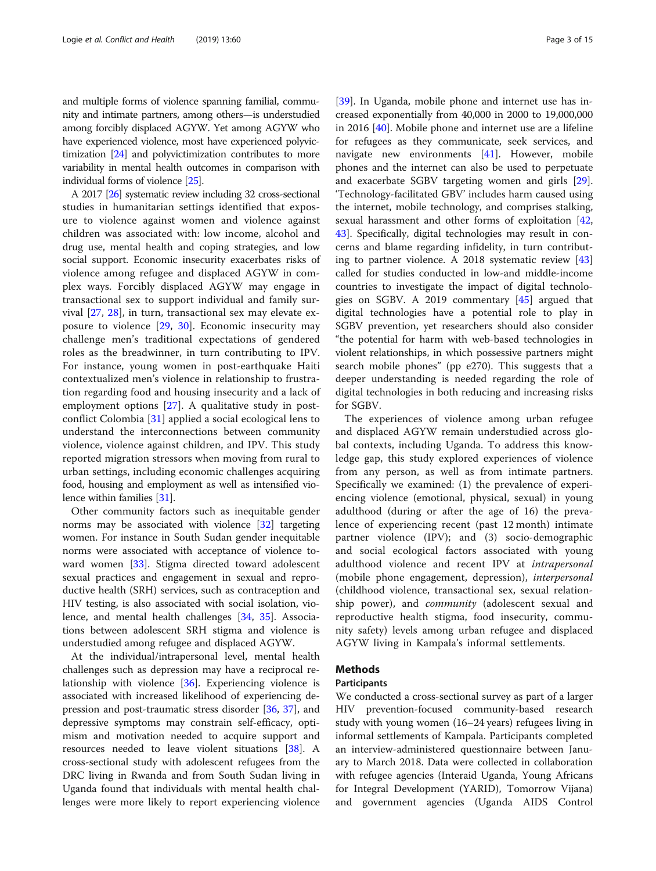and multiple forms of violence spanning familial, community and intimate partners, among others—is understudied among forcibly displaced AGYW. Yet among AGYW who have experienced violence, most have experienced polyvictimization [\[24\]](#page-13-0) and polyvictimization contributes to more variability in mental health outcomes in comparison with individual forms of violence [[25](#page-13-0)].

A 2017 [[26\]](#page-13-0) systematic review including 32 cross-sectional studies in humanitarian settings identified that exposure to violence against women and violence against children was associated with: low income, alcohol and drug use, mental health and coping strategies, and low social support. Economic insecurity exacerbates risks of violence among refugee and displaced AGYW in complex ways. Forcibly displaced AGYW may engage in transactional sex to support individual and family survival [\[27](#page-13-0), [28\]](#page-13-0), in turn, transactional sex may elevate exposure to violence [[29,](#page-13-0) [30\]](#page-13-0). Economic insecurity may challenge men's traditional expectations of gendered roles as the breadwinner, in turn contributing to IPV. For instance, young women in post-earthquake Haiti contextualized men's violence in relationship to frustration regarding food and housing insecurity and a lack of employment options [\[27\]](#page-13-0). A qualitative study in postconflict Colombia [[31](#page-13-0)] applied a social ecological lens to understand the interconnections between community violence, violence against children, and IPV. This study reported migration stressors when moving from rural to urban settings, including economic challenges acquiring food, housing and employment as well as intensified violence within families [\[31\]](#page-13-0).

Other community factors such as inequitable gender norms may be associated with violence [\[32\]](#page-13-0) targeting women. For instance in South Sudan gender inequitable norms were associated with acceptance of violence toward women [\[33\]](#page-13-0). Stigma directed toward adolescent sexual practices and engagement in sexual and reproductive health (SRH) services, such as contraception and HIV testing, is also associated with social isolation, violence, and mental health challenges [[34,](#page-13-0) [35\]](#page-13-0). Associations between adolescent SRH stigma and violence is understudied among refugee and displaced AGYW.

At the individual/intrapersonal level, mental health challenges such as depression may have a reciprocal relationship with violence [[36\]](#page-13-0). Experiencing violence is associated with increased likelihood of experiencing depression and post-traumatic stress disorder [[36,](#page-13-0) [37\]](#page-13-0), and depressive symptoms may constrain self-efficacy, optimism and motivation needed to acquire support and resources needed to leave violent situations [[38\]](#page-13-0). A cross-sectional study with adolescent refugees from the DRC living in Rwanda and from South Sudan living in Uganda found that individuals with mental health challenges were more likely to report experiencing violence [[39\]](#page-13-0). In Uganda, mobile phone and internet use has increased exponentially from 40,000 in 2000 to 19,000,000 in 2016 [\[40](#page-13-0)]. Mobile phone and internet use are a lifeline for refugees as they communicate, seek services, and navigate new environments [[41\]](#page-13-0). However, mobile phones and the internet can also be used to perpetuate and exacerbate SGBV targeting women and girls [\[29](#page-13-0)]. 'Technology-facilitated GBV' includes harm caused using the internet, mobile technology, and comprises stalking, sexual harassment and other forms of exploitation [[42](#page-13-0), [43\]](#page-13-0). Specifically, digital technologies may result in concerns and blame regarding infidelity, in turn contributing to partner violence. A 2018 systematic review [[43](#page-13-0)] called for studies conducted in low-and middle-income countries to investigate the impact of digital technologies on SGBV. A 2019 commentary [\[45\]](#page-14-0) argued that digital technologies have a potential role to play in SGBV prevention, yet researchers should also consider "the potential for harm with web-based technologies in violent relationships, in which possessive partners might search mobile phones" (pp e270). This suggests that a deeper understanding is needed regarding the role of digital technologies in both reducing and increasing risks for SGBV.

The experiences of violence among urban refugee and displaced AGYW remain understudied across global contexts, including Uganda. To address this knowledge gap, this study explored experiences of violence from any person, as well as from intimate partners. Specifically we examined: (1) the prevalence of experiencing violence (emotional, physical, sexual) in young adulthood (during or after the age of 16) the prevalence of experiencing recent (past 12 month) intimate partner violence (IPV); and (3) socio-demographic and social ecological factors associated with young adulthood violence and recent IPV at intrapersonal (mobile phone engagement, depression), interpersonal (childhood violence, transactional sex, sexual relationship power), and *community* (adolescent sexual and reproductive health stigma, food insecurity, community safety) levels among urban refugee and displaced AGYW living in Kampala's informal settlements.

# Methods

# Participants

We conducted a cross-sectional survey as part of a larger HIV prevention-focused community-based research study with young women (16–24 years) refugees living in informal settlements of Kampala. Participants completed an interview-administered questionnaire between January to March 2018. Data were collected in collaboration with refugee agencies (Interaid Uganda, Young Africans for Integral Development (YARID), Tomorrow Vijana) and government agencies (Uganda AIDS Control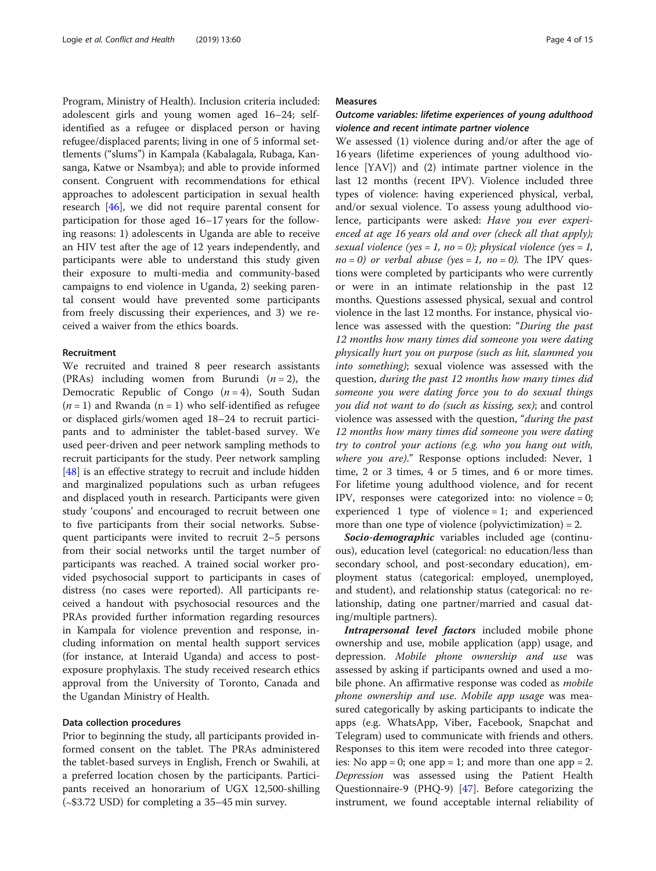Program, Ministry of Health). Inclusion criteria included: adolescent girls and young women aged 16–24; selfidentified as a refugee or displaced person or having refugee/displaced parents; living in one of 5 informal settlements ("slums") in Kampala (Kabalagala, Rubaga, Kansanga, Katwe or Nsambya); and able to provide informed consent. Congruent with recommendations for ethical approaches to adolescent participation in sexual health research [[46](#page-14-0)], we did not require parental consent for participation for those aged 16–17 years for the following reasons: 1) adolescents in Uganda are able to receive an HIV test after the age of 12 years independently, and participants were able to understand this study given their exposure to multi-media and community-based campaigns to end violence in Uganda, 2) seeking parental consent would have prevented some participants from freely discussing their experiences, and 3) we received a waiver from the ethics boards.

# Recruitment

We recruited and trained 8 peer research assistants (PRAs) including women from Burundi  $(n = 2)$ , the Democratic Republic of Congo  $(n = 4)$ , South Sudan  $(n = 1)$  and Rwanda  $(n = 1)$  who self-identified as refugee or displaced girls/women aged 18–24 to recruit participants and to administer the tablet-based survey. We used peer-driven and peer network sampling methods to recruit participants for the study. Peer network sampling [[48\]](#page-14-0) is an effective strategy to recruit and include hidden and marginalized populations such as urban refugees and displaced youth in research. Participants were given study 'coupons' and encouraged to recruit between one to five participants from their social networks. Subsequent participants were invited to recruit 2–5 persons from their social networks until the target number of participants was reached. A trained social worker provided psychosocial support to participants in cases of distress (no cases were reported). All participants received a handout with psychosocial resources and the PRAs provided further information regarding resources in Kampala for violence prevention and response, including information on mental health support services (for instance, at Interaid Uganda) and access to postexposure prophylaxis. The study received research ethics approval from the University of Toronto, Canada and the Ugandan Ministry of Health.

# Data collection procedures

Prior to beginning the study, all participants provided informed consent on the tablet. The PRAs administered the tablet-based surveys in English, French or Swahili, at a preferred location chosen by the participants. Participants received an honorarium of UGX 12,500-shilling (∼\$3.72 USD) for completing a 35–45 min survey.

# Measures

# Outcome variables: lifetime experiences of young adulthood violence and recent intimate partner violence

We assessed (1) violence during and/or after the age of 16 years (lifetime experiences of young adulthood violence [YAV]) and (2) intimate partner violence in the last 12 months (recent IPV). Violence included three types of violence: having experienced physical, verbal, and/or sexual violence. To assess young adulthood violence, participants were asked: Have you ever experienced at age 16 years old and over (check all that apply); sexual violence (yes = 1, no = 0); physical violence (yes = 1,  $no = 0$ ) or verbal abuse (yes = 1, no = 0). The IPV questions were completed by participants who were currently or were in an intimate relationship in the past 12 months. Questions assessed physical, sexual and control violence in the last 12 months. For instance, physical violence was assessed with the question: "During the past 12 months how many times did someone you were dating physically hurt you on purpose (such as hit, slammed you into something); sexual violence was assessed with the question, during the past 12 months how many times did someone you were dating force you to do sexual things you did not want to do (such as kissing, sex); and control violence was assessed with the question, "during the past 12 months how many times did someone you were dating try to control your actions (e.g. who you hang out with, where you are)." Response options included: Never, 1 time, 2 or 3 times, 4 or 5 times, and 6 or more times. For lifetime young adulthood violence, and for recent IPV, responses were categorized into: no violence = 0; experienced 1 type of violence  $= 1$ ; and experienced more than one type of violence (polyvictimization) = 2.

Socio-demographic variables included age (continuous), education level (categorical: no education/less than secondary school, and post-secondary education), employment status (categorical: employed, unemployed, and student), and relationship status (categorical: no relationship, dating one partner/married and casual dating/multiple partners).

Intrapersonal level factors included mobile phone ownership and use, mobile application (app) usage, and depression. Mobile phone ownership and use was assessed by asking if participants owned and used a mobile phone. An affirmative response was coded as mobile phone ownership and use. Mobile app usage was measured categorically by asking participants to indicate the apps (e.g. WhatsApp, Viber, Facebook, Snapchat and Telegram) used to communicate with friends and others. Responses to this item were recoded into three categories: No app = 0; one app = 1; and more than one app = 2. Depression was assessed using the Patient Health Questionnaire-9 (PHQ-9) [[47\]](#page-14-0). Before categorizing the instrument, we found acceptable internal reliability of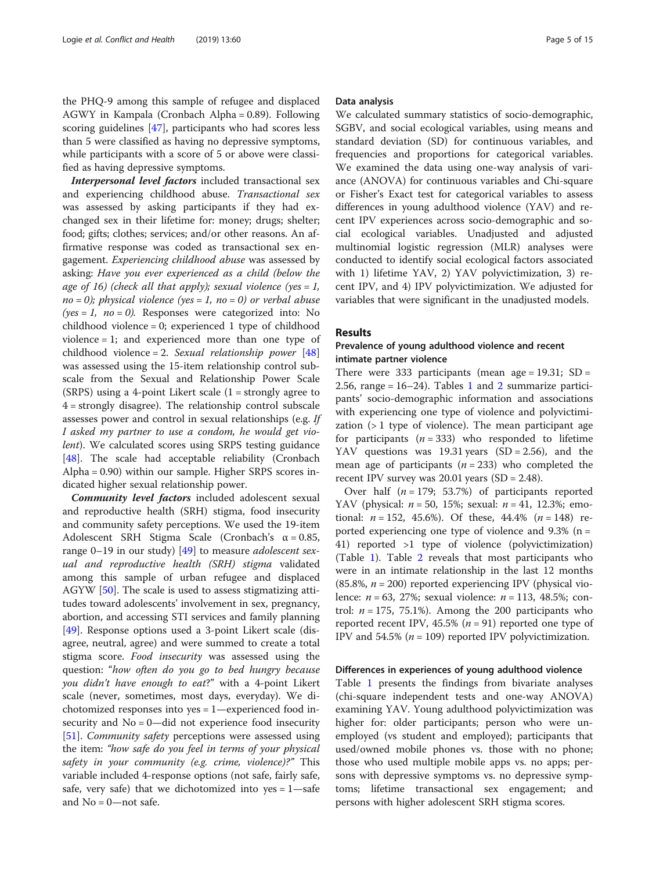the PHQ-9 among this sample of refugee and displaced AGWY in Kampala (Cronbach Alpha = 0.89). Following scoring guidelines [[47](#page-14-0)], participants who had scores less than 5 were classified as having no depressive symptoms, while participants with a score of 5 or above were classified as having depressive symptoms.

Interpersonal level factors included transactional sex and experiencing childhood abuse. Transactional sex was assessed by asking participants if they had exchanged sex in their lifetime for: money; drugs; shelter; food; gifts; clothes; services; and/or other reasons. An affirmative response was coded as transactional sex engagement. Experiencing childhood abuse was assessed by asking: Have you ever experienced as a child (below the age of 16) (check all that apply); sexual violence (yes = 1,  $no = 0$ ); physical violence (yes = 1, no = 0) or verbal abuse (yes = 1,  $no = 0$ ). Responses were categorized into: No childhood violence = 0; experienced 1 type of childhood violence = 1; and experienced more than one type of childhood violence = 2. Sexual relationship power  $[48]$  $[48]$  $[48]$ was assessed using the 15-item relationship control subscale from the Sexual and Relationship Power Scale (SRPS) using a 4-point Likert scale  $(1 =$  strongly agree to 4 = strongly disagree). The relationship control subscale assesses power and control in sexual relationships (e.g. If I asked my partner to use a condom, he would get violent). We calculated scores using SRPS testing guidance [[48\]](#page-14-0). The scale had acceptable reliability (Cronbach Alpha = 0.90) within our sample. Higher SRPS scores indicated higher sexual relationship power.

Community level factors included adolescent sexual and reproductive health (SRH) stigma, food insecurity and community safety perceptions. We used the 19-item Adolescent SRH Stigma Scale (Cronbach's  $\alpha = 0.85$ , range 0–19 in our study)  $[49]$  $[49]$  to measure *adolescent sex*ual and reproductive health (SRH) stigma validated among this sample of urban refugee and displaced AGYW [\[50\]](#page-14-0). The scale is used to assess stigmatizing attitudes toward adolescents' involvement in sex, pregnancy, abortion, and accessing STI services and family planning [[49\]](#page-14-0). Response options used a 3-point Likert scale (disagree, neutral, agree) and were summed to create a total stigma score. Food insecurity was assessed using the question: "how often do you go to bed hungry because you didn't have enough to eat?" with a 4-point Likert scale (never, sometimes, most days, everyday). We dichotomized responses into yes = 1—experienced food insecurity and  $No = 0$ —did not experience food insecurity [[51\]](#page-14-0). *Community safety* perceptions were assessed using the item: "how safe do you feel in terms of your physical safety in your community (e.g. crime, violence)?" This variable included 4-response options (not safe, fairly safe, safe, very safe) that we dichotomized into  $yes = 1 - safe$ and  $No = 0$ —not safe.

# Data analysis

We calculated summary statistics of socio-demographic, SGBV, and social ecological variables, using means and standard deviation (SD) for continuous variables, and frequencies and proportions for categorical variables. We examined the data using one-way analysis of variance (ANOVA) for continuous variables and Chi-square or Fisher's Exact test for categorical variables to assess differences in young adulthood violence (YAV) and recent IPV experiences across socio-demographic and social ecological variables. Unadjusted and adjusted multinomial logistic regression (MLR) analyses were conducted to identify social ecological factors associated with 1) lifetime YAV, 2) YAV polyvictimization, 3) recent IPV, and 4) IPV polyvictimization. We adjusted for variables that were significant in the unadjusted models.

# Results

# Prevalence of young adulthood violence and recent intimate partner violence

There were 333 participants (mean age =  $19.31$ ; SD = [2](#page-7-0).56, range =  $16-24$  $16-24$ ). Tables 1 and 2 summarize participants' socio-demographic information and associations with experiencing one type of violence and polyvictimization  $(1$  type of violence). The mean participant age for participants ( $n = 333$ ) who responded to lifetime YAV questions was 19.31 years  $(SD = 2.56)$ , and the mean age of participants  $(n = 233)$  who completed the recent IPV survey was  $20.01$  years (SD = 2.48).

Over half  $(n = 179; 53.7%)$  of participants reported YAV (physical:  $n = 50$ , 15%; sexual:  $n = 41$ , 12.3%; emotional:  $n = 152, 45.6\%$ . Of these,  $44.4\%$   $(n = 148)$  reported experiencing one type of violence and  $9.3\%$  (n = 41) reported >1 type of violence (polyvictimization) (Table [1\)](#page-5-0). Table [2](#page-7-0) reveals that most participants who were in an intimate relationship in the last 12 months (85.8%,  $n = 200$ ) reported experiencing IPV (physical violence:  $n = 63$ , 27%; sexual violence:  $n = 113$ , 48.5%; control:  $n = 175$ , 75.1%). Among the 200 participants who reported recent IPV, 45.5% ( $n = 91$ ) reported one type of IPV and 54.5% ( $n = 109$ ) reported IPV polyvictimization.

# Differences in experiences of young adulthood violence

Table [1](#page-5-0) presents the findings from bivariate analyses (chi-square independent tests and one-way ANOVA) examining YAV. Young adulthood polyvictimization was higher for: older participants; person who were unemployed (vs student and employed); participants that used/owned mobile phones vs. those with no phone; those who used multiple mobile apps vs. no apps; persons with depressive symptoms vs. no depressive symptoms; lifetime transactional sex engagement; and persons with higher adolescent SRH stigma scores.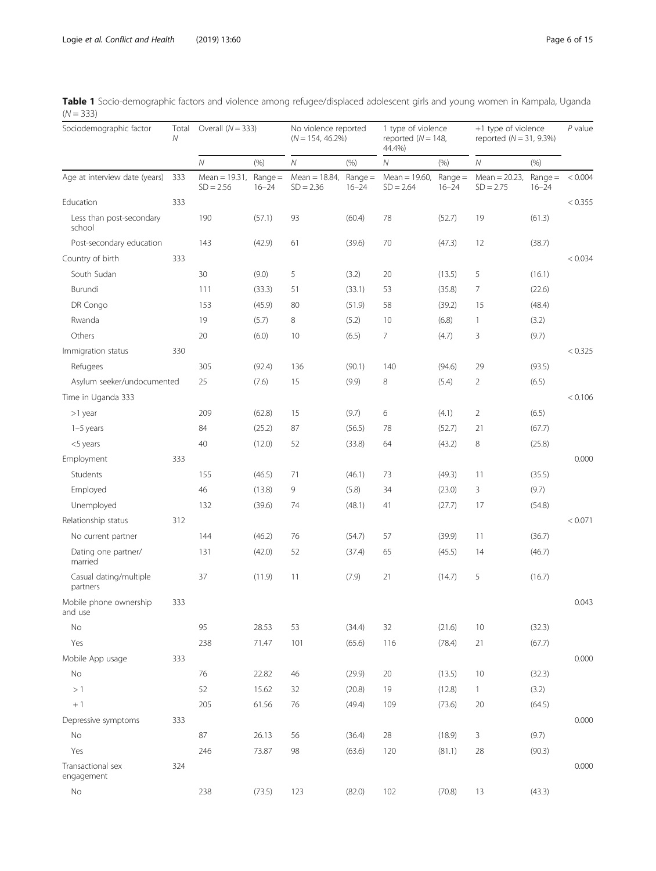| Sociodemographic factor            | Total<br>Ν | Overall $(N = 333)$             |                        | No violence reported<br>$(N = 154, 46.2\%)$ |                        | 1 type of violence<br>reported ( $N = 148$ ,<br>44.4%) |                        | +1 type of violence<br>reported $(N = 31, 9.3\%)$ |                        | $P$ value |
|------------------------------------|------------|---------------------------------|------------------------|---------------------------------------------|------------------------|--------------------------------------------------------|------------------------|---------------------------------------------------|------------------------|-----------|
|                                    |            | $\mathcal N$                    | (% )                   | $\cal N$                                    | (% )                   | Ν                                                      | (% )                   | ${\cal N}$                                        | (% )                   |           |
| Age at interview date (years)      | 333        | Mean = $19.31$ ,<br>$SD = 2.56$ | $Range =$<br>$16 - 24$ | Mean = $18.84$ ,<br>$SD = 2.36$             | $Range =$<br>$16 - 24$ | Mean = $19.60$ ,<br>$SD = 2.64$                        | $Range =$<br>$16 - 24$ | Mean = $20.23$ ,<br>$SD = 2.75$                   | $Range =$<br>$16 - 24$ | < 0.004   |
| Education                          | 333        |                                 |                        |                                             |                        |                                                        |                        |                                                   |                        | < 0.355   |
| Less than post-secondary<br>school |            | 190                             | (57.1)                 | 93                                          | (60.4)                 | 78                                                     | (52.7)                 | 19                                                | (61.3)                 |           |
| Post-secondary education           |            | 143                             | (42.9)                 | 61                                          | (39.6)                 | 70                                                     | (47.3)                 | 12                                                | (38.7)                 |           |
| Country of birth                   | 333        |                                 |                        |                                             |                        |                                                        |                        |                                                   |                        | < 0.034   |
| South Sudan                        |            | 30                              | (9.0)                  | 5                                           | (3.2)                  | 20                                                     | (13.5)                 | 5                                                 | (16.1)                 |           |
| Burundi                            |            | 111                             | (33.3)                 | 51                                          | (33.1)                 | 53                                                     | (35.8)                 | 7                                                 | (22.6)                 |           |
| DR Congo                           |            | 153                             | (45.9)                 | 80                                          | (51.9)                 | 58                                                     | (39.2)                 | 15                                                | (48.4)                 |           |
| Rwanda                             |            | 19                              | (5.7)                  | 8                                           | (5.2)                  | 10                                                     | (6.8)                  | $\mathbf{1}$                                      | (3.2)                  |           |
| Others                             |            | 20                              | (6.0)                  | 10                                          | (6.5)                  | 7                                                      | (4.7)                  | 3                                                 | (9.7)                  |           |
| Immigration status                 | 330        |                                 |                        |                                             |                        |                                                        |                        |                                                   |                        | < 0.325   |
| Refugees                           |            | 305                             | (92.4)                 | 136                                         | (90.1)                 | 140                                                    | (94.6)                 | 29                                                | (93.5)                 |           |
| Asylum seeker/undocumented         |            | 25                              | (7.6)                  | 15                                          | (9.9)                  | 8                                                      | (5.4)                  | $\overline{2}$                                    | (6.5)                  |           |
| Time in Uganda 333                 |            |                                 |                        |                                             |                        |                                                        |                        |                                                   |                        | < 0.106   |
| >1 year                            |            | 209                             | (62.8)                 | 15                                          | (9.7)                  | 6                                                      | (4.1)                  | $\overline{2}$                                    | (6.5)                  |           |
| $1-5$ years                        |            | 84                              | (25.2)                 | 87                                          | (56.5)                 | 78                                                     | (52.7)                 | 21                                                | (67.7)                 |           |
| <5 years                           |            | 40                              | (12.0)                 | 52                                          | (33.8)                 | 64                                                     | (43.2)                 | 8                                                 | (25.8)                 |           |
| Employment                         | 333        |                                 |                        |                                             |                        |                                                        |                        |                                                   |                        | 0.000     |
| Students                           |            | 155                             | (46.5)                 | 71                                          | (46.1)                 | 73                                                     | (49.3)                 | 11                                                | (35.5)                 |           |
| Employed                           |            | 46                              | (13.8)                 | 9                                           | (5.8)                  | 34                                                     | (23.0)                 | 3                                                 | (9.7)                  |           |
| Unemployed                         |            | 132                             | (39.6)                 | 74                                          | (48.1)                 | 41                                                     | (27.7)                 | 17                                                | (54.8)                 |           |
| Relationship status                | 312        |                                 |                        |                                             |                        |                                                        |                        |                                                   |                        | < 0.071   |
| No current partner                 |            | 144                             | (46.2)                 | 76                                          | (54.7)                 | 57                                                     | (39.9)                 | 11                                                | (36.7)                 |           |
| Dating one partner/<br>married     |            | 131                             | (42.0)                 | 52                                          | (37.4)                 | 65                                                     | (45.5)                 | 14                                                | (46.7)                 |           |
| Casual dating/multiple<br>partners |            | 37                              | (11.9)                 | 11                                          | (7.9)                  | 21                                                     | (14.7)                 | 5                                                 | (16.7)                 |           |
| Mobile phone ownership<br>and use  | 333        |                                 |                        |                                             |                        |                                                        |                        |                                                   |                        | 0.043     |
| No                                 |            | 95                              | 28.53                  | 53                                          | (34.4)                 | 32                                                     | (21.6)                 | 10                                                | (32.3)                 |           |
| Yes                                |            | 238                             | 71.47                  | 101                                         | (65.6)                 | 116                                                    | (78.4)                 | 21                                                | (67.7)                 |           |
| Mobile App usage                   | 333        |                                 |                        |                                             |                        |                                                        |                        |                                                   |                        | 0.000     |
| No                                 |            | 76                              | 22.82                  | 46                                          | (29.9)                 | 20                                                     | (13.5)                 | 10                                                | (32.3)                 |           |
| >1                                 |            | 52                              | 15.62                  | 32                                          | (20.8)                 | 19                                                     | (12.8)                 | $\mathbf{1}$                                      | (3.2)                  |           |
| $+1$                               |            | 205                             | 61.56                  | 76                                          | (49.4)                 | 109                                                    | (73.6)                 | 20                                                | (64.5)                 |           |
| Depressive symptoms                | 333        |                                 |                        |                                             |                        |                                                        |                        |                                                   |                        | 0.000     |
| No                                 |            | 87                              | 26.13                  | 56                                          | (36.4)                 | 28                                                     | (18.9)                 | 3                                                 | (9.7)                  |           |
| Yes                                |            | 246                             | 73.87                  | 98                                          | (63.6)                 | 120                                                    | (81.1)                 | 28                                                | (90.3)                 |           |
| Transactional sex<br>engagement    | 324        |                                 |                        |                                             |                        |                                                        |                        |                                                   |                        | 0.000     |
| No                                 |            | 238                             | (73.5)                 | 123                                         | (82.0)                 | 102                                                    | (70.8)                 | 13                                                | (43.3)                 |           |

<span id="page-5-0"></span>

|             | Table 1 Socio-demographic factors and violence among refugee/displaced adolescent girls and young women in Kampala, Uganda |  |  |  |  |
|-------------|----------------------------------------------------------------------------------------------------------------------------|--|--|--|--|
| $(N = 333)$ |                                                                                                                            |  |  |  |  |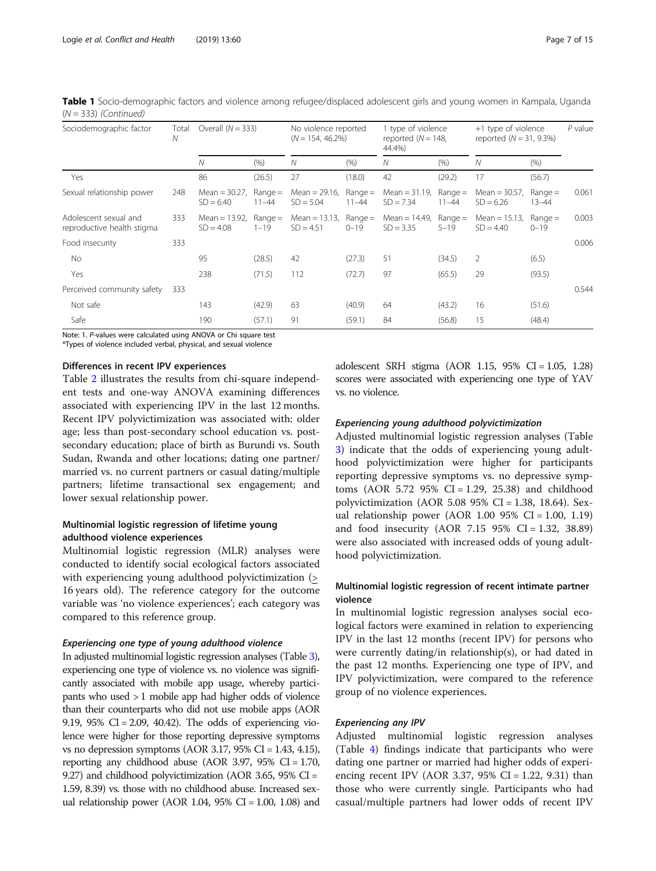| Sociodemographic factor                             | Total<br>Ν | Overall $(N = 333)$             |                        | No violence reported<br>$(N = 154, 46.2\%)$ |                        | 1 type of violence<br>reported $(N = 148,$<br>44.4%) |                        | +1 type of violence<br>reported $(N = 31, 9.3\%)$ |                        | $P$ value |
|-----------------------------------------------------|------------|---------------------------------|------------------------|---------------------------------------------|------------------------|------------------------------------------------------|------------------------|---------------------------------------------------|------------------------|-----------|
|                                                     |            | N                               | (% )                   | $\mathcal N$                                | (% )                   | N                                                    | (% )                   | N                                                 | (% )                   |           |
| Yes                                                 |            | 86                              | (26.5)                 | 27                                          | (18.0)                 | 42                                                   | (29.2)                 | 17                                                | (56.7)                 |           |
| Sexual relationship power                           | 248        | Mean = $30.27$ ,<br>$SD = 6.40$ | $Range =$<br>$11 - 44$ | Mean = $29.16$ ,<br>$SD = 5.04$             | $Range =$<br>$11 - 44$ | Mean = $31.19$ ,<br>$SD = 7.34$                      | $Range =$<br>$11 - 44$ | Mean = $30.57$ ,<br>$SD = 6.26$                   | $Range =$<br>$13 - 44$ | 0.061     |
| Adolescent sexual and<br>reproductive health stigma | 333        | Mean $= 13.92$ .<br>$SD = 4.08$ | $Range =$<br>$1 - 19$  | Mean = $13.13$ ,<br>$SD = 4.51$             | $Range =$<br>$0 - 19$  | Mean = $14.49$ ,<br>$SD = 3.35$                      | $Range =$<br>$5 - 19$  | Mean = $15.13$ ,<br>$SD = 4.40$                   | $Range =$<br>$0 - 19$  | 0.003     |
| Food insecurity                                     | 333        |                                 |                        |                                             |                        |                                                      |                        |                                                   |                        | 0.006     |
| No                                                  |            | 95                              | (28.5)                 | 42                                          | (27.3)                 | 51                                                   | (34.5)                 | 2                                                 | (6.5)                  |           |
| Yes                                                 |            | 238                             | (71.5)                 | 112                                         | (72.7)                 | 97                                                   | (65.5)                 | 29                                                | (93.5)                 |           |
| Perceived community safety                          | 333        |                                 |                        |                                             |                        |                                                      |                        |                                                   |                        | 0.544     |
| Not safe                                            |            | 143                             | (42.9)                 | 63                                          | (40.9)                 | 64                                                   | (43.2)                 | 16                                                | (51.6)                 |           |
| Safe                                                |            | 190                             | (57.1)                 | 91                                          | (59.1)                 | 84                                                   | (56.8)                 | 15                                                | (48.4)                 |           |

Table 1 Socio-demographic factors and violence among refugee/displaced adolescent girls and young women in Kampala, Uganda  $(N = 333)$  (Continued)

Note: 1. P-values were calculated using ANOVA or Chi square test \*Types of violence included verbal, physical, and sexual violence

# Differences in recent IPV experiences

Table [2](#page-7-0) illustrates the results from chi-square independent tests and one-way ANOVA examining differences associated with experiencing IPV in the last 12 months. Recent IPV polyvictimization was associated with: older age; less than post-secondary school education vs. postsecondary education; place of birth as Burundi vs. South Sudan, Rwanda and other locations; dating one partner/ married vs. no current partners or casual dating/multiple partners; lifetime transactional sex engagement; and lower sexual relationship power.

# Multinomial logistic regression of lifetime young adulthood violence experiences

Multinomial logistic regression (MLR) analyses were conducted to identify social ecological factors associated with experiencing young adulthood polyvictimization (> 16 years old). The reference category for the outcome variable was 'no violence experiences'; each category was compared to this reference group.

# Experiencing one type of young adulthood violence

In adjusted multinomial logistic regression analyses (Table [3\)](#page-9-0), experiencing one type of violence vs. no violence was significantly associated with mobile app usage, whereby participants who used > 1 mobile app had higher odds of violence than their counterparts who did not use mobile apps (AOR 9.19, 95%  $CI = 2.09$ , 40.42). The odds of experiencing violence were higher for those reporting depressive symptoms vs no depression symptoms (AOR 3.17, 95% CI = 1.43, 4.15), reporting any childhood abuse (AOR 3.97, 95%  $CI = 1.70$ , 9.27) and childhood polyvictimization (AOR 3.65, 95% CI = 1.59, 8.39) vs. those with no childhood abuse. Increased sexual relationship power (AOR 1.04,  $95\%$  CI = 1.00, 1.08) and adolescent SRH stigma (AOR 1.15, 95% CI = 1.05, 1.28) scores were associated with experiencing one type of YAV vs. no violence.

# Experiencing young adulthood polyvictimization

Adjusted multinomial logistic regression analyses (Table [3\)](#page-9-0) indicate that the odds of experiencing young adulthood polyvictimization were higher for participants reporting depressive symptoms vs. no depressive symptoms (AOR 5.72 95% CI = 1.29, 25.38) and childhood polyvictimization (AOR 5.08 95% CI = 1.38, 18.64). Sexual relationship power (AOR  $1.00\,95\%$  CI = 1.00, 1.19) and food insecurity (AOR 7.15 95% CI = 1.32, 38.89) were also associated with increased odds of young adulthood polyvictimization.

# Multinomial logistic regression of recent intimate partner violence

In multinomial logistic regression analyses social ecological factors were examined in relation to experiencing IPV in the last 12 months (recent IPV) for persons who were currently dating/in relationship(s), or had dated in the past 12 months. Experiencing one type of IPV, and IPV polyvictimization, were compared to the reference group of no violence experiences.

# Experiencing any IPV

Adjusted multinomial logistic regression analyses (Table [4\)](#page-10-0) findings indicate that participants who were dating one partner or married had higher odds of experiencing recent IPV (AOR 3.37, 95% CI = 1.22, 9.31) than those who were currently single. Participants who had casual/multiple partners had lower odds of recent IPV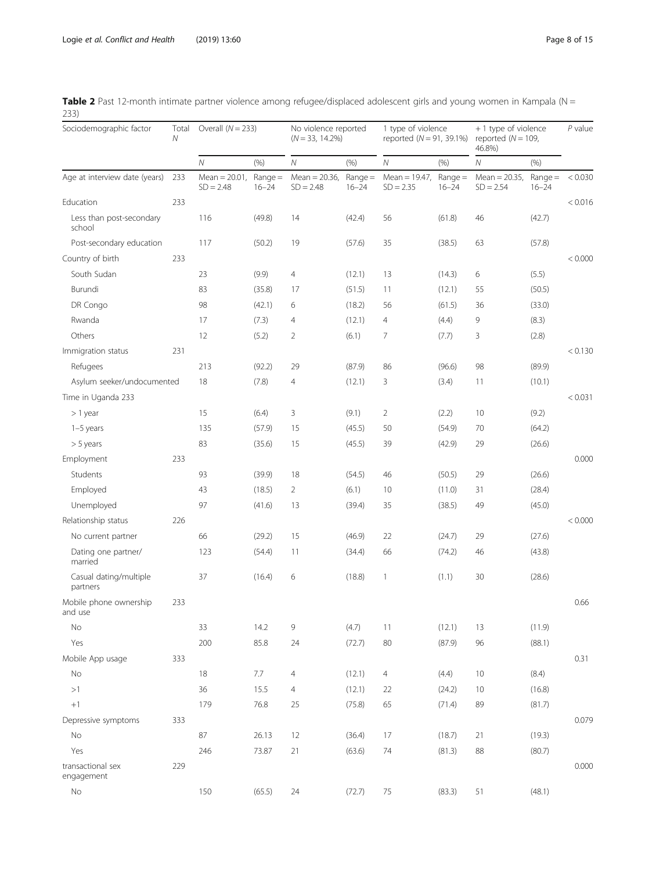| Sociodemographic factor            | Total<br>N | Overall $(N = 233)$             |                        | No violence reported<br>$(N = 33, 14.2\%)$ |                        | 1 type of violence<br>reported $(N = 91, 39.1\%)$ |                        | +1 type of violence<br>reported ( $N = 109$ ,<br>46.8%) |                        | $P$ value |
|------------------------------------|------------|---------------------------------|------------------------|--------------------------------------------|------------------------|---------------------------------------------------|------------------------|---------------------------------------------------------|------------------------|-----------|
|                                    |            | $\cal N$                        | (% )                   | ${\cal N}$                                 | (% )                   | Ν                                                 | (% )                   | ${\cal N}$                                              | (% )                   |           |
| Age at interview date (years)      | 233        | Mean = $20.01$ ,<br>$SD = 2.48$ | $Range =$<br>$16 - 24$ | Mean = $20.36$ ,<br>$SD = 2.48$            | $Range =$<br>$16 - 24$ | Mean = $19.47$ ,<br>$SD = 2.35$                   | $Range =$<br>$16 - 24$ | Mean = $20.35$ ,<br>$SD = 2.54$                         | $Range =$<br>$16 - 24$ | < 0.030   |
| Education                          | 233        |                                 |                        |                                            |                        |                                                   |                        |                                                         |                        | < 0.016   |
| Less than post-secondary<br>school |            | 116                             | (49.8)                 | 14                                         | (42.4)                 | 56                                                | (61.8)                 | 46                                                      | (42.7)                 |           |
| Post-secondary education           |            | 117                             | (50.2)                 | 19                                         | (57.6)                 | 35                                                | (38.5)                 | 63                                                      | (57.8)                 |           |
| Country of birth                   | 233        |                                 |                        |                                            |                        |                                                   |                        |                                                         |                        | < 0.000   |
| South Sudan                        |            | 23                              | (9.9)                  | $\overline{4}$                             | (12.1)                 | 13                                                | (14.3)                 | 6                                                       | (5.5)                  |           |
| Burundi                            |            | 83                              | (35.8)                 | 17                                         | (51.5)                 | 11                                                | (12.1)                 | 55                                                      | (50.5)                 |           |
| DR Congo                           |            | 98                              | (42.1)                 | 6                                          | (18.2)                 | 56                                                | (61.5)                 | 36                                                      | (33.0)                 |           |
| Rwanda                             |            | 17                              | (7.3)                  | 4                                          | (12.1)                 | 4                                                 | (4.4)                  | 9                                                       | (8.3)                  |           |
| Others                             |            | 12                              | (5.2)                  | $\overline{2}$                             | (6.1)                  | $\overline{7}$                                    | (7.7)                  | 3                                                       | (2.8)                  |           |
| Immigration status                 | 231        |                                 |                        |                                            |                        |                                                   |                        |                                                         |                        | < 0.130   |
| Refugees                           |            | 213                             | (92.2)                 | 29                                         | (87.9)                 | 86                                                | (96.6)                 | 98                                                      | (89.9)                 |           |
| Asylum seeker/undocumented         |            | 18                              | (7.8)                  | 4                                          | (12.1)                 | 3                                                 | (3.4)                  | 11                                                      | (10.1)                 |           |
| Time in Uganda 233                 |            |                                 |                        |                                            |                        |                                                   |                        |                                                         |                        | < 0.031   |
| $> 1$ year                         |            | 15                              | (6.4)                  | 3                                          | (9.1)                  | $\overline{2}$                                    | (2.2)                  | 10                                                      | (9.2)                  |           |
| $1-5$ years                        |            | 135                             | (57.9)                 | 15                                         | (45.5)                 | 50                                                | (54.9)                 | 70                                                      | (64.2)                 |           |
| $> 5$ years                        |            | 83                              | (35.6)                 | 15                                         | (45.5)                 | 39                                                | (42.9)                 | 29                                                      | (26.6)                 |           |
| Employment                         | 233        |                                 |                        |                                            |                        |                                                   |                        |                                                         |                        | 0.000     |
| Students                           |            | 93                              | (39.9)                 | 18                                         | (54.5)                 | 46                                                | (50.5)                 | 29                                                      | (26.6)                 |           |
| Employed                           |            | 43                              | (18.5)                 | 2                                          | (6.1)                  | 10                                                | (11.0)                 | 31                                                      | (28.4)                 |           |
| Unemployed                         |            | 97                              | (41.6)                 | 13                                         | (39.4)                 | 35                                                | (38.5)                 | 49                                                      | (45.0)                 |           |
| Relationship status                | 226        |                                 |                        |                                            |                        |                                                   |                        |                                                         |                        | < 0.000   |
| No current partner                 |            | 66                              | (29.2)                 | 15                                         | (46.9)                 | 22                                                | (24.7)                 | 29                                                      | (27.6)                 |           |
| Dating one partner/<br>married     |            | 123                             | (54.4)                 | 11                                         | (34.4)                 | 66                                                | (74.2)                 | 46                                                      | (43.8)                 |           |
| Casual dating/multiple<br>partners |            | 37                              | (16.4)                 | 6                                          | (18.8)                 | $\mathbf{1}$                                      | (1.1)                  | 30                                                      | (28.6)                 |           |
| Mobile phone ownership<br>and use  | 233        |                                 |                        |                                            |                        |                                                   |                        |                                                         |                        | 0.66      |
| No                                 |            | 33                              | 14.2                   | 9                                          | (4.7)                  | 11                                                | (12.1)                 | 13                                                      | (11.9)                 |           |
| Yes                                |            | 200                             | 85.8                   | 24                                         | (72.7)                 | 80                                                | (87.9)                 | 96                                                      | (88.1)                 |           |
| Mobile App usage                   | 333        |                                 |                        |                                            |                        |                                                   |                        |                                                         |                        | 0.31      |
| No                                 |            | 18                              | 7.7                    | 4                                          | (12.1)                 | $\overline{4}$                                    | (4.4)                  | 10                                                      | (8.4)                  |           |
| >1                                 |            | 36                              | 15.5                   | $\overline{4}$                             | (12.1)                 | 22                                                | (24.2)                 | 10                                                      | (16.8)                 |           |
| $+1$                               |            | 179                             | 76.8                   | 25                                         | (75.8)                 | 65                                                | (71.4)                 | 89                                                      | (81.7)                 |           |
| Depressive symptoms                | 333        |                                 |                        |                                            |                        |                                                   |                        |                                                         |                        | 0.079     |
| No                                 |            | 87                              | 26.13                  | 12                                         | (36.4)                 | 17                                                | (18.7)                 | 21                                                      | (19.3)                 |           |
| Yes                                |            | 246                             | 73.87                  | 21                                         | (63.6)                 | 74                                                | (81.3)                 | 88                                                      | (80.7)                 |           |
| transactional sex<br>engagement    | 229        |                                 |                        |                                            |                        |                                                   |                        |                                                         |                        | 0.000     |
| $\mathsf{No}$                      |            | 150                             | (65.5)                 | 24                                         | (72.7)                 | 75                                                | (83.3)                 | 51                                                      | (48.1)                 |           |

<span id="page-7-0"></span>

| Table 2 Past 12-month intimate partner violence among refugee/displaced adolescent girls and young women in Kampala (N = |  |  |  |  |
|--------------------------------------------------------------------------------------------------------------------------|--|--|--|--|
| 233)                                                                                                                     |  |  |  |  |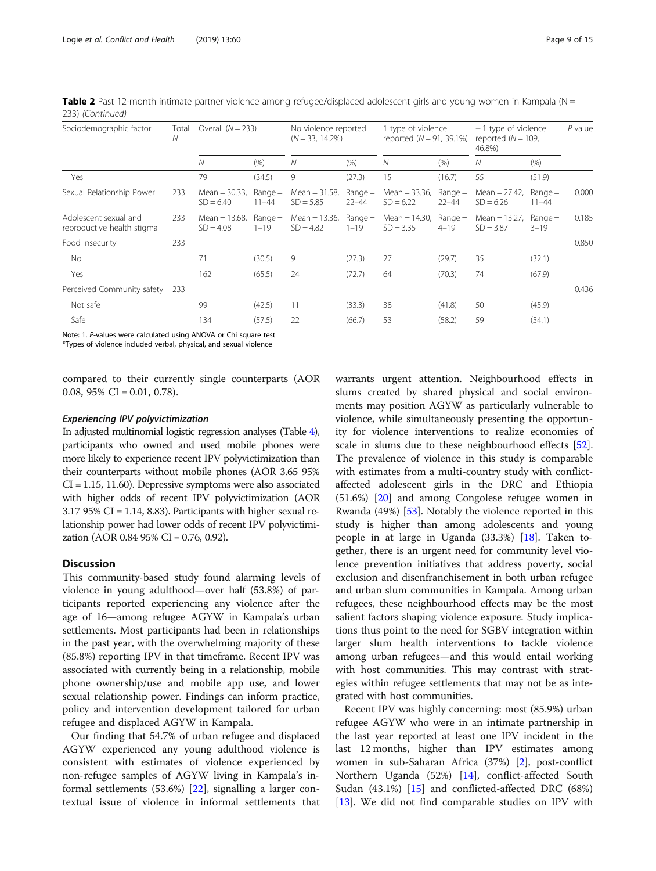| Sociodemographic factor                             | Total<br>Ν | Overall $(N = 233)$             |                        | No violence reported<br>$(N = 33, 14.2\%)$ |                        | 1 type of violence<br>reported $(N = 91, 39.1\%)$ |                        | + 1 type of violence<br>reported $(N = 109$ ,<br>46.8%) |                        | $P$ value |
|-----------------------------------------------------|------------|---------------------------------|------------------------|--------------------------------------------|------------------------|---------------------------------------------------|------------------------|---------------------------------------------------------|------------------------|-----------|
|                                                     |            | N                               | (% )                   | N                                          | (% )                   | Ν                                                 | (% )                   | N                                                       | (% )                   |           |
| Yes                                                 |            | 79                              | (34.5)                 | 9                                          | (27.3)                 | 15                                                | (16.7)                 | 55                                                      | (51.9)                 |           |
| Sexual Relationship Power                           | 233        | Mean = $30.33$ ,<br>$SD = 6.40$ | $Range =$<br>$11 - 44$ | Mean = $31.58$ ,<br>$SD = 5.85$            | $Range =$<br>$22 - 44$ | Mean = $33.36$ ,<br>$SD = 6.22$                   | $Range =$<br>$22 - 44$ | Mean = $27.42$ ,<br>$SD = 6.26$                         | $Range =$<br>$11 - 44$ | 0.000     |
| Adolescent sexual and<br>reproductive health stigma | 233        | Mean $= 13.68$ .<br>$SD = 4.08$ | $Range =$<br>$1 - 19$  | Mean = $13.36$ ,<br>$SD = 4.82$            | $Range =$<br>$1 - 19$  | Mean = $14.30$ ,<br>$SD = 3.35$                   | $Range =$<br>$4 - 19$  | Mean = $13.27$ ,<br>$SD = 3.87$                         | $Range =$<br>$3 - 19$  | 0.185     |
| Food insecurity                                     | 233        |                                 |                        |                                            |                        |                                                   |                        |                                                         |                        | 0.850     |
| No.                                                 |            | 71                              | (30.5)                 | 9                                          | (27.3)                 | 27                                                | (29.7)                 | 35                                                      | (32.1)                 |           |
| Yes                                                 |            | 162                             | (65.5)                 | 24                                         | (72.7)                 | 64                                                | (70.3)                 | 74                                                      | (67.9)                 |           |
| Perceived Community safety                          | 233        |                                 |                        |                                            |                        |                                                   |                        |                                                         |                        | 0.436     |
| Not safe                                            |            | 99                              | (42.5)                 | 11                                         | (33.3)                 | 38                                                | (41.8)                 | 50                                                      | (45.9)                 |           |
| Safe                                                |            | 134                             | (57.5)                 | 22                                         | (66.7)                 | 53                                                | (58.2)                 | 59                                                      | (54.1)                 |           |

Table 2 Past 12-month intimate partner violence among refugee/displaced adolescent girls and young women in Kampala ( $N =$ 233) (Continued)

Note: 1. P-values were calculated using ANOVA or Chi square test \*Types of violence included verbal, physical, and sexual violence

compared to their currently single counterparts (AOR

# Experiencing IPV polyvictimization

0.08,  $95\%$  CI = 0.01, 0.78).

In adjusted multinomial logistic regression analyses (Table [4\)](#page-10-0), participants who owned and used mobile phones were more likely to experience recent IPV polyvictimization than their counterparts without mobile phones (AOR 3.65 95% CI = 1.15, 11.60). Depressive symptoms were also associated with higher odds of recent IPV polyvictimization (AOR  $3.17$  95% CI = 1.14, 8.83). Participants with higher sexual relationship power had lower odds of recent IPV polyvictimization (AOR 0.84 95% CI = 0.76, 0.92).

# **Discussion**

This community-based study found alarming levels of violence in young adulthood—over half (53.8%) of participants reported experiencing any violence after the age of 16—among refugee AGYW in Kampala's urban settlements. Most participants had been in relationships in the past year, with the overwhelming majority of these (85.8%) reporting IPV in that timeframe. Recent IPV was associated with currently being in a relationship, mobile phone ownership/use and mobile app use, and lower sexual relationship power. Findings can inform practice, policy and intervention development tailored for urban refugee and displaced AGYW in Kampala.

Our finding that 54.7% of urban refugee and displaced AGYW experienced any young adulthood violence is consistent with estimates of violence experienced by non-refugee samples of AGYW living in Kampala's informal settlements (53.6%) [[22\]](#page-13-0), signalling a larger contextual issue of violence in informal settlements that

warrants urgent attention. Neighbourhood effects in slums created by shared physical and social environments may position AGYW as particularly vulnerable to violence, while simultaneously presenting the opportunity for violence interventions to realize economies of scale in slums due to these neighbourhood effects [\[52](#page-14-0)]. The prevalence of violence in this study is comparable with estimates from a multi-country study with conflictaffected adolescent girls in the DRC and Ethiopia (51.6%) [[20\]](#page-13-0) and among Congolese refugee women in Rwanda (49%) [\[53](#page-14-0)]. Notably the violence reported in this study is higher than among adolescents and young people in at large in Uganda (33.3%) [[18](#page-13-0)]. Taken together, there is an urgent need for community level violence prevention initiatives that address poverty, social exclusion and disenfranchisement in both urban refugee and urban slum communities in Kampala. Among urban refugees, these neighbourhood effects may be the most salient factors shaping violence exposure. Study implications thus point to the need for SGBV integration within larger slum health interventions to tackle violence among urban refugees—and this would entail working with host communities. This may contrast with strategies within refugee settlements that may not be as integrated with host communities.

Recent IPV was highly concerning: most (85.9%) urban refugee AGYW who were in an intimate partnership in the last year reported at least one IPV incident in the last 12 months, higher than IPV estimates among women in sub-Saharan Africa (37%) [[2](#page-12-0)], post-conflict Northern Uganda (52%) [\[14](#page-13-0)], conflict-affected South Sudan (43.1%) [[15\]](#page-13-0) and conflicted-affected DRC (68%) [[13\]](#page-13-0). We did not find comparable studies on IPV with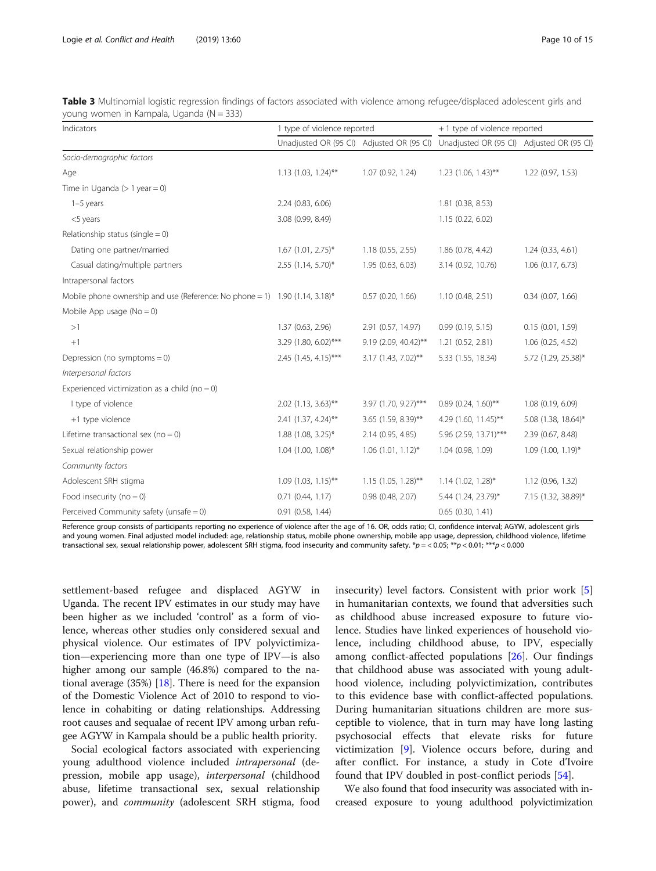| Indicators                                                                  | 1 type of violence reported | + 1 type of violence reported |                                                                                     |                       |
|-----------------------------------------------------------------------------|-----------------------------|-------------------------------|-------------------------------------------------------------------------------------|-----------------------|
|                                                                             |                             |                               | Unadjusted OR (95 CI) Adjusted OR (95 CI) Unadjusted OR (95 CI) Adjusted OR (95 CI) |                       |
| Socio-demographic factors                                                   |                             |                               |                                                                                     |                       |
| Age                                                                         | $1.13$ (1.03, 1.24)**       | 1.07(0.92, 1.24)              | $1.23$ (1.06, 1.43)**                                                               | 1.22 (0.97, 1.53)     |
| Time in Uganda $(>1$ year = 0)                                              |                             |                               |                                                                                     |                       |
| $1-5$ years                                                                 | 2.24 (0.83, 6.06)           |                               | 1.81 (0.38, 8.53)                                                                   |                       |
| <5 years                                                                    | 3.08 (0.99, 8.49)           |                               | 1.15(0.22, 6.02)                                                                    |                       |
| Relationship status (single $= 0$ )                                         |                             |                               |                                                                                     |                       |
| Dating one partner/married                                                  | $1.67$ (1.01, 2.75)*        | 1.18(0.55, 2.55)              | 1.86 (0.78, 4.42)                                                                   | 1.24(0.33, 4.61)      |
| Casual dating/multiple partners                                             | $2.55$ (1.14, 5.70)*        | 1.95 (0.63, 6.03)             | 3.14 (0.92, 10.76)                                                                  | $1.06$ $(0.17, 6.73)$ |
| Intrapersonal factors                                                       |                             |                               |                                                                                     |                       |
| Mobile phone ownership and use (Reference: No phone = 1) 1.90 (1.14, 3.18)* |                             | $0.57$ (0.20, 1.66)           | 1.10(0.48, 2.51)                                                                    | $0.34$ (0.07, 1.66)   |
| Mobile App usage $(No = 0)$                                                 |                             |                               |                                                                                     |                       |
| >1                                                                          | 1.37 (0.63, 2.96)           | 2.91 (0.57, 14.97)            | 0.99(0.19, 5.15)                                                                    | 0.15(0.01, 1.59)      |
| $+1$                                                                        | 3.29 (1.80, 6.02)***        | 9.19 (2.09, 40.42)**          | 1.21(0.52, 2.81)                                                                    | $1.06$ (0.25, 4.52)   |
| Depression (no symptoms = $0$ )                                             | 2.45 (1.45, 4.15)***        | $3.17(1.43, 7.02)$ **         | 5.33 (1.55, 18.34)                                                                  | 5.72 (1.29, 25.38)*   |
| Interpersonal factors                                                       |                             |                               |                                                                                     |                       |
| Experienced victimization as a child (no = 0)                               |                             |                               |                                                                                     |                       |
| I type of violence                                                          | $2.02$ (1.13, 3.63)**       | 3.97 (1.70, 9.27)***          | $0.89$ (0.24, 1.60)**                                                               | 1.08 (0.19, 6.09)     |
| +1 type violence                                                            | 2.41 (1.37, 4.24)**         | 3.65 (1.59, 8.39)**           | 4.29 (1.60, 11.45)**                                                                | 5.08 (1.38, 18.64)*   |
| Lifetime transactional sex ( $no = 0$ )                                     | 1.88 (1.08, 3.25)*          | 2.14 (0.95, 4.85)             | 5.96 (2.59, 13.71)***                                                               | 2.39 (0.67, 8.48)     |
| Sexual relationship power                                                   | $1.04$ (1.00, 1.08)*        | $1.06$ (1.01, 1.12)*          | 1.04 (0.98, 1.09)                                                                   | $1.09$ (1.00, 1.19)*  |
| Community factors                                                           |                             |                               |                                                                                     |                       |
| Adolescent SRH stigma                                                       | $1.09(1.03, 1.15)$ **       | $1.15$ (1.05, 1.28)**         | $1.14$ (1.02, 1.28)*                                                                | 1.12(0.96, 1.32)      |
| Food insecurity ( $no = 0$ )                                                | 0.71(0.44, 1.17)            | 0.98(0.48, 2.07)              | 5.44 (1.24, 23.79)*                                                                 | 7.15 (1.32, 38.89)*   |
| Perceived Community safety (unsafe $= 0$ )                                  | 0.91 (0.58, 1.44)           |                               | $0.65$ $(0.30, 1.41)$                                                               |                       |

<span id="page-9-0"></span>

| Table 3 Multinomial logistic regression findings of factors associated with violence among refugee/displaced adolescent girls and |  |  |  |  |  |  |
|-----------------------------------------------------------------------------------------------------------------------------------|--|--|--|--|--|--|
| young women in Kampala, Uganda (N = 333)                                                                                          |  |  |  |  |  |  |

Reference group consists of participants reporting no experience of violence after the age of 16. OR, odds ratio; CI, confidence interval; AGYW, adolescent girls and young women. Final adjusted model included: age, relationship status, mobile phone ownership, mobile app usage, depression, childhood violence, lifetime transactional sex, sexual relationship power, adolescent SRH stigma, food insecurity and community safety.  $\sp{\ast}p = 0.05$ ;  $\sp{\ast\ast}p < 0.01$ ;  $\sp{\ast\ast\ast}p < 0.000$ 

settlement-based refugee and displaced AGYW in Uganda. The recent IPV estimates in our study may have been higher as we included 'control' as a form of violence, whereas other studies only considered sexual and physical violence. Our estimates of IPV polyvictimization—experiencing more than one type of IPV—is also higher among our sample (46.8%) compared to the national average (35%) [\[18\]](#page-13-0). There is need for the expansion of the Domestic Violence Act of 2010 to respond to violence in cohabiting or dating relationships. Addressing root causes and sequalae of recent IPV among urban refugee AGYW in Kampala should be a public health priority.

Social ecological factors associated with experiencing young adulthood violence included intrapersonal (depression, mobile app usage), *interpersonal* (childhood abuse, lifetime transactional sex, sexual relationship power), and community (adolescent SRH stigma, food insecurity) level factors. Consistent with prior work [\[5](#page-13-0)] in humanitarian contexts, we found that adversities such as childhood abuse increased exposure to future violence. Studies have linked experiences of household violence, including childhood abuse, to IPV, especially among conflict-affected populations [\[26](#page-13-0)]. Our findings that childhood abuse was associated with young adulthood violence, including polyvictimization, contributes to this evidence base with conflict-affected populations. During humanitarian situations children are more susceptible to violence, that in turn may have long lasting psychosocial effects that elevate risks for future victimization [[9\]](#page-13-0). Violence occurs before, during and after conflict. For instance, a study in Cote d'Ivoire found that IPV doubled in post-conflict periods [\[54](#page-14-0)].

We also found that food insecurity was associated with increased exposure to young adulthood polyvictimization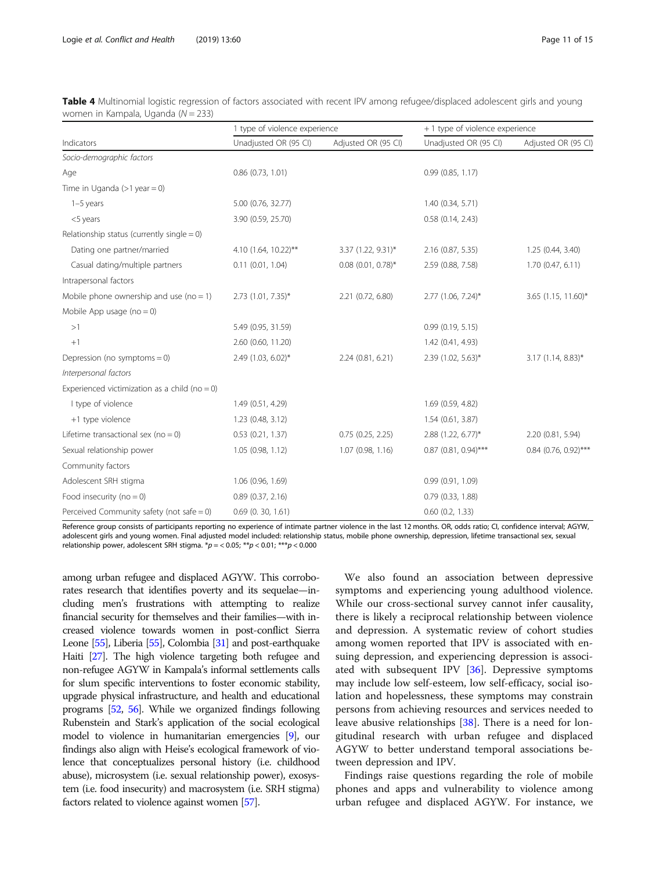|                                               | 1 type of violence experience |                      | + 1 type of violence experience |                        |  |  |
|-----------------------------------------------|-------------------------------|----------------------|---------------------------------|------------------------|--|--|
| Indicators                                    | Unadjusted OR (95 CI)         | Adjusted OR (95 CI)  | Unadjusted OR (95 CI)           | Adjusted OR (95 CI)    |  |  |
| Socio-demographic factors                     |                               |                      |                                 |                        |  |  |
| Age                                           | $0.86$ $(0.73, 1.01)$         |                      | 0.99(0.85, 1.17)                |                        |  |  |
| Time in Uganda $(>1$ year = 0)                |                               |                      |                                 |                        |  |  |
| $1-5$ years                                   | 5.00 (0.76, 32.77)            |                      | 1.40 (0.34, 5.71)               |                        |  |  |
| <5 years                                      | 3.90 (0.59, 25.70)            |                      | $0.58$ $(0.14, 2.43)$           |                        |  |  |
| Relationship status (currently single $= 0$ ) |                               |                      |                                 |                        |  |  |
| Dating one partner/married                    | 4.10 (1.64, 10.22)**          | 3.37 (1.22, 9.31)*   | 2.16 (0.87, 5.35)               | 1.25 (0.44, 3.40)      |  |  |
| Casual dating/multiple partners               | $0.11$ $(0.01, 1.04)$         | $0.08$ (0.01, 0.78)* | 2.59 (0.88, 7.58)               | 1.70(0.47, 6.11)       |  |  |
| Intrapersonal factors                         |                               |                      |                                 |                        |  |  |
| Mobile phone ownership and use ( $no = 1$ )   | $2.73$ (1.01, 7.35)*          | 2.21 (0.72, 6.80)    | $2.77$ (1.06, 7.24)*            | 3.65 $(1.15, 11.60)^*$ |  |  |
| Mobile App usage $(no = 0)$                   |                               |                      |                                 |                        |  |  |
| >1                                            | 5.49 (0.95, 31.59)            |                      | 0.99(0.19, 5.15)                |                        |  |  |
| $+1$                                          | 2.60 (0.60, 11.20)            |                      | 1.42 (0.41, 4.93)               |                        |  |  |
| Depression (no symptoms = $0$ )               | 2.49 (1.03, 6.02)*            | 2.24 (0.81, 6.21)    | 2.39 (1.02, 5.63)*              | $3.17$ (1.14, 8.83)*   |  |  |
| Interpersonal factors                         |                               |                      |                                 |                        |  |  |
| Experienced victimization as a child (no = 0) |                               |                      |                                 |                        |  |  |
| I type of violence                            | 1.49 (0.51, 4.29)             |                      | 1.69 (0.59, 4.82)               |                        |  |  |
| +1 type violence                              | 1.23 (0.48, 3.12)             |                      | 1.54(0.61, 3.87)                |                        |  |  |
| Lifetime transactional sex ( $no = 0$ )       | $0.53$ $(0.21, 1.37)$         | 0.75(0.25, 2.25)     | $2.88$ (1.22, 6.77)*            | 2.20 (0.81, 5.94)      |  |  |
| Sexual relationship power                     | 1.05(0.98, 1.12)              | 1.07(0.98, 1.16)     | $0.87$ (0.81, 0.94)***          | $0.84$ (0.76, 0.92)*** |  |  |
| Community factors                             |                               |                      |                                 |                        |  |  |
| Adolescent SRH stigma                         | 1.06 (0.96, 1.69)             |                      | 0.99(0.91, 1.09)                |                        |  |  |
| Food insecurity ( $no = 0$ )                  | $0.89$ $(0.37, 2.16)$         |                      | $0.79$ $(0.33, 1.88)$           |                        |  |  |
| Perceived Community safety (not safe $= 0$ )  | $0.69$ (0. 30, 1.61)          |                      | $0.60$ $(0.2, 1.33)$            |                        |  |  |

<span id="page-10-0"></span>

| Table 4 Multinomial logistic regression of factors associated with recent IPV among refugee/displaced adolescent girls and young |  |  |  |  |
|----------------------------------------------------------------------------------------------------------------------------------|--|--|--|--|
| women in Kampala, Uganda ( $N = 233$ )                                                                                           |  |  |  |  |

Reference group consists of participants reporting no experience of intimate partner violence in the last 12 months. OR, odds ratio; CI, confidence interval; AGYW, adolescent girls and young women. Final adjusted model included: relationship status, mobile phone ownership, depression, lifetime transactional sex, sexual relationship power, adolescent SRH stigma.  $np = 0.05$ ;  $**p < 0.01$ ;  $***p < 0.000$ 

among urban refugee and displaced AGYW. This corroborates research that identifies poverty and its sequelae—including men's frustrations with attempting to realize financial security for themselves and their families—with increased violence towards women in post-conflict Sierra Leone [\[55](#page-14-0)], Liberia [\[55\]](#page-14-0), Colombia [[31](#page-13-0)] and post-earthquake Haiti [[27\]](#page-13-0). The high violence targeting both refugee and non-refugee AGYW in Kampala's informal settlements calls for slum specific interventions to foster economic stability, upgrade physical infrastructure, and health and educational programs [\[52](#page-14-0), [56\]](#page-14-0). While we organized findings following Rubenstein and Stark's application of the social ecological model to violence in humanitarian emergencies [\[9\]](#page-13-0), our findings also align with Heise's ecological framework of violence that conceptualizes personal history (i.e. childhood abuse), microsystem (i.e. sexual relationship power), exosystem (i.e. food insecurity) and macrosystem (i.e. SRH stigma) factors related to violence against women [[57](#page-14-0)].

We also found an association between depressive symptoms and experiencing young adulthood violence. While our cross-sectional survey cannot infer causality, there is likely a reciprocal relationship between violence and depression. A systematic review of cohort studies among women reported that IPV is associated with ensuing depression, and experiencing depression is associ-ated with subsequent IPV [[36](#page-13-0)]. Depressive symptoms may include low self-esteem, low self-efficacy, social isolation and hopelessness, these symptoms may constrain persons from achieving resources and services needed to leave abusive relationships [\[38](#page-13-0)]. There is a need for longitudinal research with urban refugee and displaced AGYW to better understand temporal associations between depression and IPV.

Findings raise questions regarding the role of mobile phones and apps and vulnerability to violence among urban refugee and displaced AGYW. For instance, we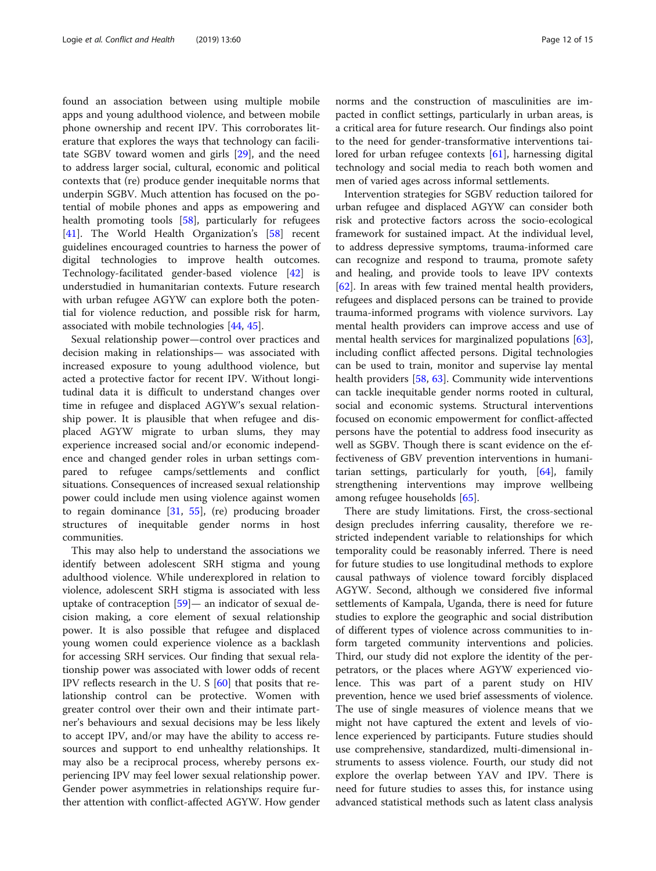found an association between using multiple mobile apps and young adulthood violence, and between mobile phone ownership and recent IPV. This corroborates literature that explores the ways that technology can facilitate SGBV toward women and girls [[29](#page-13-0)], and the need to address larger social, cultural, economic and political contexts that (re) produce gender inequitable norms that underpin SGBV. Much attention has focused on the potential of mobile phones and apps as empowering and health promoting tools [[58\]](#page-14-0), particularly for refugees [[41\]](#page-13-0). The World Health Organization's [[58](#page-14-0)] recent guidelines encouraged countries to harness the power of digital technologies to improve health outcomes. Technology-facilitated gender-based violence [\[42\]](#page-13-0) is understudied in humanitarian contexts. Future research with urban refugee AGYW can explore both the potential for violence reduction, and possible risk for harm, associated with mobile technologies [[44](#page-14-0), [45](#page-14-0)].

Sexual relationship power—control over practices and decision making in relationships— was associated with increased exposure to young adulthood violence, but acted a protective factor for recent IPV. Without longitudinal data it is difficult to understand changes over time in refugee and displaced AGYW's sexual relationship power. It is plausible that when refugee and displaced AGYW migrate to urban slums, they may experience increased social and/or economic independence and changed gender roles in urban settings compared to refugee camps/settlements and conflict situations. Consequences of increased sexual relationship power could include men using violence against women to regain dominance [\[31](#page-13-0), [55\]](#page-14-0), (re) producing broader structures of inequitable gender norms in host communities.

This may also help to understand the associations we identify between adolescent SRH stigma and young adulthood violence. While underexplored in relation to violence, adolescent SRH stigma is associated with less uptake of contraception [[59\]](#page-14-0)— an indicator of sexual decision making, a core element of sexual relationship power. It is also possible that refugee and displaced young women could experience violence as a backlash for accessing SRH services. Our finding that sexual relationship power was associated with lower odds of recent IPV reflects research in the U. S [[60\]](#page-14-0) that posits that relationship control can be protective. Women with greater control over their own and their intimate partner's behaviours and sexual decisions may be less likely to accept IPV, and/or may have the ability to access resources and support to end unhealthy relationships. It may also be a reciprocal process, whereby persons experiencing IPV may feel lower sexual relationship power. Gender power asymmetries in relationships require further attention with conflict-affected AGYW. How gender

norms and the construction of masculinities are impacted in conflict settings, particularly in urban areas, is a critical area for future research. Our findings also point to the need for gender-transformative interventions tailored for urban refugee contexts [\[61](#page-14-0)], harnessing digital technology and social media to reach both women and men of varied ages across informal settlements.

Intervention strategies for SGBV reduction tailored for urban refugee and displaced AGYW can consider both risk and protective factors across the socio-ecological framework for sustained impact. At the individual level, to address depressive symptoms, trauma-informed care can recognize and respond to trauma, promote safety and healing, and provide tools to leave IPV contexts [[62\]](#page-14-0). In areas with few trained mental health providers, refugees and displaced persons can be trained to provide trauma-informed programs with violence survivors. Lay mental health providers can improve access and use of mental health services for marginalized populations [\[63](#page-14-0)], including conflict affected persons. Digital technologies can be used to train, monitor and supervise lay mental health providers [\[58](#page-14-0), [63](#page-14-0)]. Community wide interventions can tackle inequitable gender norms rooted in cultural, social and economic systems. Structural interventions focused on economic empowerment for conflict-affected persons have the potential to address food insecurity as well as SGBV. Though there is scant evidence on the effectiveness of GBV prevention interventions in humanitarian settings, particularly for youth, [\[64\]](#page-14-0), family strengthening interventions may improve wellbeing among refugee households [\[65](#page-14-0)].

There are study limitations. First, the cross-sectional design precludes inferring causality, therefore we restricted independent variable to relationships for which temporality could be reasonably inferred. There is need for future studies to use longitudinal methods to explore causal pathways of violence toward forcibly displaced AGYW. Second, although we considered five informal settlements of Kampala, Uganda, there is need for future studies to explore the geographic and social distribution of different types of violence across communities to inform targeted community interventions and policies. Third, our study did not explore the identity of the perpetrators, or the places where AGYW experienced violence. This was part of a parent study on HIV prevention, hence we used brief assessments of violence. The use of single measures of violence means that we might not have captured the extent and levels of violence experienced by participants. Future studies should use comprehensive, standardized, multi-dimensional instruments to assess violence. Fourth, our study did not explore the overlap between YAV and IPV. There is need for future studies to asses this, for instance using advanced statistical methods such as latent class analysis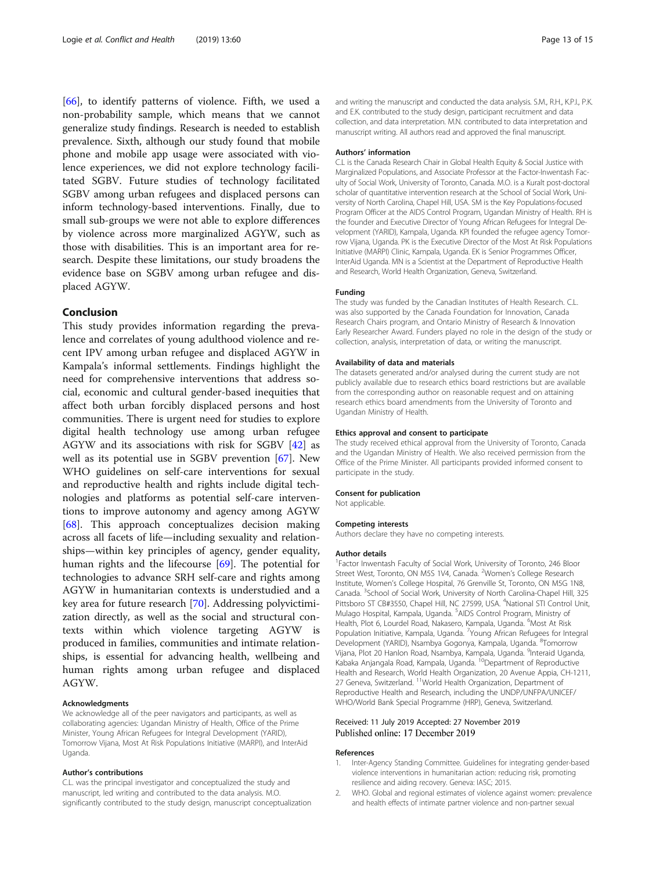<span id="page-12-0"></span>[[66\]](#page-14-0), to identify patterns of violence. Fifth, we used a non-probability sample, which means that we cannot generalize study findings. Research is needed to establish prevalence. Sixth, although our study found that mobile phone and mobile app usage were associated with violence experiences, we did not explore technology facilitated SGBV. Future studies of technology facilitated SGBV among urban refugees and displaced persons can inform technology-based interventions. Finally, due to small sub-groups we were not able to explore differences by violence across more marginalized AGYW, such as those with disabilities. This is an important area for research. Despite these limitations, our study broadens the evidence base on SGBV among urban refugee and displaced AGYW.

# Conclusion

This study provides information regarding the prevalence and correlates of young adulthood violence and recent IPV among urban refugee and displaced AGYW in Kampala's informal settlements. Findings highlight the need for comprehensive interventions that address social, economic and cultural gender-based inequities that affect both urban forcibly displaced persons and host communities. There is urgent need for studies to explore digital health technology use among urban refugee AGYW and its associations with risk for SGBV [\[42](#page-13-0)] as well as its potential use in SGBV prevention [[67](#page-14-0)]. New WHO guidelines on self-care interventions for sexual and reproductive health and rights include digital technologies and platforms as potential self-care interventions to improve autonomy and agency among AGYW [[68\]](#page-14-0). This approach conceptualizes decision making across all facets of life—including sexuality and relationships—within key principles of agency, gender equality, human rights and the lifecourse [\[69](#page-14-0)]. The potential for technologies to advance SRH self-care and rights among AGYW in humanitarian contexts is understudied and a key area for future research [\[70](#page-14-0)]. Addressing polyvictimization directly, as well as the social and structural contexts within which violence targeting AGYW is produced in families, communities and intimate relationships, is essential for advancing health, wellbeing and human rights among urban refugee and displaced AGYW.

# Acknowledgments

We acknowledge all of the peer navigators and participants, as well as collaborating agencies: Ugandan Ministry of Health, Office of the Prime Minister, Young African Refugees for Integral Development (YARID), Tomorrow Vijana, Most At Risk Populations Initiative (MARPI), and InterAid Uganda.

# Author's contributions

C.L. was the principal investigator and conceptualized the study and manuscript, led writing and contributed to the data analysis. M.O. significantly contributed to the study design, manuscript conceptualization and writing the manuscript and conducted the data analysis. S.M., R.H., K.P.I., P.K. and E.K. contributed to the study design, participant recruitment and data collection, and data interpretation. M.N. contributed to data interpretation and manuscript writing. All authors read and approved the final manuscript.

#### Authors' information

C.L is the Canada Research Chair in Global Health Equity & Social Justice with Marginalized Populations, and Associate Professor at the Factor-Inwentash Faculty of Social Work, University of Toronto, Canada. M.O. is a Kuralt post-doctoral scholar of quantitative intervention research at the School of Social Work, University of North Carolina, Chapel Hill, USA. SM is the Key Populations-focused Program Officer at the AIDS Control Program, Ugandan Ministry of Health. RH is the founder and Executive Director of Young African Refugees for Integral Development (YARID), Kampala, Uganda. KPI founded the refugee agency Tomorrow Vijana, Uganda. PK is the Executive Director of the Most At Risk Populations Initiative (MARPI) Clinic, Kampala, Uganda. EK is Senior Programmes Officer, InterAid Uganda. MN is a Scientist at the Department of Reproductive Health and Research, World Health Organization, Geneva, Switzerland.

# Funding

The study was funded by the Canadian Institutes of Health Research. C.L. was also supported by the Canada Foundation for Innovation, Canada Research Chairs program, and Ontario Ministry of Research & Innovation Early Researcher Award. Funders played no role in the design of the study or collection, analysis, interpretation of data, or writing the manuscript.

## Availability of data and materials

The datasets generated and/or analysed during the current study are not publicly available due to research ethics board restrictions but are available from the corresponding author on reasonable request and on attaining research ethics board amendments from the University of Toronto and Ugandan Ministry of Health.

## Ethics approval and consent to participate

The study received ethical approval from the University of Toronto, Canada and the Ugandan Ministry of Health. We also received permission from the Office of the Prime Minister. All participants provided informed consent to participate in the study.

## Consent for publication

Not applicable.

#### Competing interests

Authors declare they have no competing interests.

#### Author details

<sup>1</sup> Factor Inwentash Faculty of Social Work, University of Toronto, 246 Bloor Street West, Toronto, ON M5S 1V4, Canada. <sup>2</sup>Women's College Research Institute, Women's College Hospital, 76 Grenville St, Toronto, ON M5G 1N8, Canada. <sup>3</sup>School of Social Work, University of North Carolina-Chapel Hill, 325 Pittsboro ST CB#3550, Chapel Hill, NC 27599, USA. <sup>4</sup>National STI Control Unit, Mulago Hospital, Kampala, Uganda. <sup>5</sup>AIDS Control Program, Ministry of Health, Plot 6, Lourdel Road, Nakasero, Kampala, Uganda. <sup>6</sup>Most At Risk Population Initiative, Kampala, Uganda. <sup>7</sup>Young African Refugees for Integral Development (YARID), Nsambya Gogonya, Kampala, Uganda. <sup>8</sup>Tomorrow Vijana, Plot 20 Hanlon Road, Nsambya, Kampala, Uganda. <sup>9</sup>Interaid Uganda Kabaka Anjangala Road, Kampala, Uganda. 10Department of Reproductive Health and Research, World Health Organization, 20 Avenue Appia, CH-1211, 27 Geneva, Switzerland. <sup>11</sup>World Health Organization, Department of Reproductive Health and Research, including the UNDP/UNFPA/UNICEF/ WHO/World Bank Special Programme (HRP), Geneva, Switzerland.

# Received: 11 July 2019 Accepted: 27 November 2019 Published online: 17 December 2019

#### References

- 1. Inter-Agency Standing Committee. Guidelines for integrating gender-based violence interventions in humanitarian action: reducing risk, promoting resilience and aiding recovery. Geneva: IASC; 2015.
- 2. WHO. Global and regional estimates of violence against women: prevalence and health effects of intimate partner violence and non-partner sexual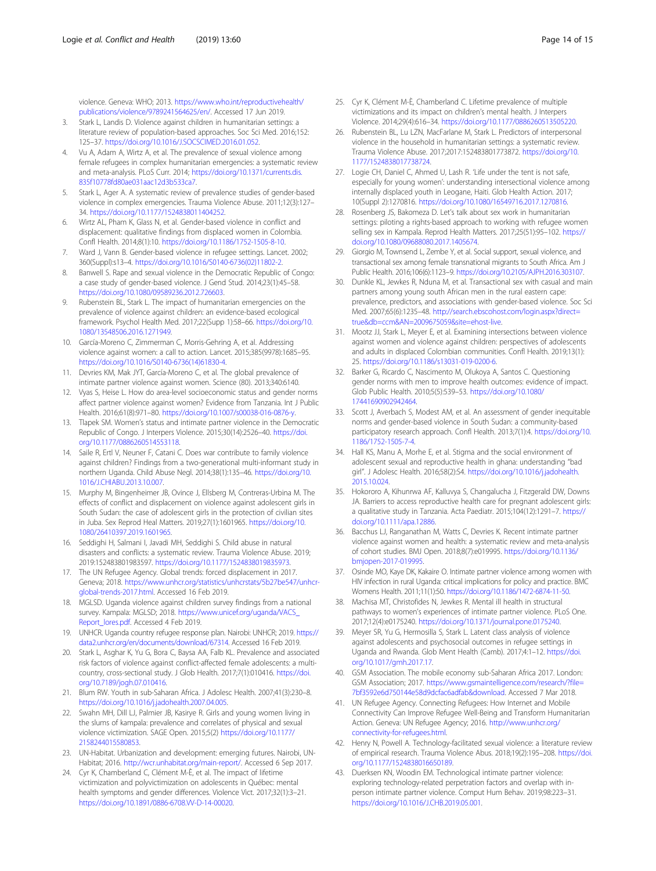<span id="page-13-0"></span>violence. Geneva: WHO; 2013. [https://www.who.int/reproductivehealth/](https://www.who.int/reproductivehealth/publications/violence/9789241564625/en/) [publications/violence/9789241564625/en/](https://www.who.int/reproductivehealth/publications/violence/9789241564625/en/). Accessed 17 Jun 2019.

- 3. Stark L, Landis D. Violence against children in humanitarian settings: a literature review of population-based approaches. Soc Sci Med. 2016;152: 125–37. [https://doi.org/10.1016/J.SOCSCIMED.2016.01.052.](https://doi.org/10.1016/J.SOCSCIMED.2016.01.052)
- 4. Vu A, Adam A, Wirtz A, et al. The prevalence of sexual violence among female refugees in complex humanitarian emergencies: a systematic review and meta-analysis. PLoS Curr. 2014; [https://doi.org/10.1371/currents.dis.](https://doi.org/10.1371/currents.dis.835f10778fd80ae031aac12d3b533ca7) [835f10778fd80ae031aac12d3b533ca7.](https://doi.org/10.1371/currents.dis.835f10778fd80ae031aac12d3b533ca7)
- 5. Stark L, Ager A. A systematic review of prevalence studies of gender-based violence in complex emergencies. Trauma Violence Abuse. 2011;12(3):127– 34. [https://doi.org/10.1177/1524838011404252.](https://doi.org/10.1177/1524838011404252)
- 6. Wirtz AL, Pham K, Glass N, et al. Gender-based violence in conflict and displacement: qualitative findings from displaced women in Colombia. Confl Health. 2014;8(1):10. <https://doi.org/10.1186/1752-1505-8-10>.
- 7. Ward J, Vann B. Gender-based violence in refugee settings. Lancet. 2002; 360(Suppl):s13–4. [https://doi.org/10.1016/S0140-6736\(02\)11802-2.](https://doi.org/10.1016/S0140-6736(02)11802-2)
- 8. Banwell S. Rape and sexual violence in the Democratic Republic of Congo: a case study of gender-based violence. J Gend Stud. 2014;23(1):45–58. [https://doi.org/10.1080/09589236.2012.726603.](https://doi.org/10.1080/09589236.2012.726603)
- 9. Rubenstein BL, Stark L. The impact of humanitarian emergencies on the prevalence of violence against children: an evidence-based ecological framework. Psychol Health Med. 2017;22(Supp 1):58–66. [https://doi.org/10.](https://doi.org/10.1080/13548506.2016.1271949) [1080/13548506.2016.1271949.](https://doi.org/10.1080/13548506.2016.1271949)
- 10. García-Moreno C, Zimmerman C, Morris-Gehring A, et al. Addressing violence against women: a call to action. Lancet. 2015;385(9978):1685–95. [https://doi.org/10.1016/S0140-6736\(14\)61830-4.](https://doi.org/10.1016/S0140-6736(14)61830-4)
- 11. Devries KM, Mak JYT, García-Moreno C, et al. The global prevalence of intimate partner violence against women. Science (80). 2013;340:6140.
- 12. Vyas S, Heise L, How do area-level socioeconomic status and gender norms affect partner violence against women? Evidence from Tanzania. Int J Public Health. 2016;61(8):971–80. [https://doi.org/10.1007/s00038-016-0876-y.](https://doi.org/10.1007/s00038-016-0876-y)
- 13. Tlapek SM. Women's status and intimate partner violence in the Democratic Republic of Congo. J Interpers Violence. 2015;30(14):2526–40. [https://doi.](https://doi.org/10.1177/0886260514553118) [org/10.1177/0886260514553118.](https://doi.org/10.1177/0886260514553118)
- 14. Saile R, Ertl V, Neuner F, Catani C. Does war contribute to family violence against children? Findings from a two-generational multi-informant study in northern Uganda. Child Abuse Negl. 2014;38(1):135–46. [https://doi.org/10.](https://doi.org/10.1016/J.CHIABU.2013.10.007) [1016/J.CHIABU.2013.10.007.](https://doi.org/10.1016/J.CHIABU.2013.10.007)
- 15. Murphy M, Bingenheimer JB, Ovince J, Ellsberg M, Contreras-Urbina M. The effects of conflict and displacement on violence against adolescent girls in South Sudan: the case of adolescent girls in the protection of civilian sites in Juba. Sex Reprod Heal Matters. 2019;27(1):1601965. [https://doi.org/10.](https://doi.org/10.1080/26410397.2019.1601965) [1080/26410397.2019.1601965.](https://doi.org/10.1080/26410397.2019.1601965)
- 16. Seddighi H, Salmani I, Javadi MH, Seddighi S. Child abuse in natural disasters and conflicts: a systematic review. Trauma Violence Abuse. 2019; 2019:152483801983597. [https://doi.org/10.1177/1524838019835973.](https://doi.org/10.1177/1524838019835973)
- 17. The UN Refugee Agency. Global trends: forced displacement in 2017. Geneva; 2018. [https://www.unhcr.org/statistics/unhcrstats/5b27be547/unhcr](https://www.unhcr.org/statistics/unhcrstats/5b27be547/unhcr-global-trends-2017.html)[global-trends-2017.html](https://www.unhcr.org/statistics/unhcrstats/5b27be547/unhcr-global-trends-2017.html). Accessed 16 Feb 2019.
- 18. MGLSD. Uganda violence against children survey findings from a national survey. Kampala: MGLSD; 2018. [https://www.unicef.org/uganda/VACS\\_](https://www.unicef.org/uganda/VACS_Report_lores.pdf) [Report\\_lores.pdf](https://www.unicef.org/uganda/VACS_Report_lores.pdf). Accessed 4 Feb 2019.
- 19. UNHCR. Uganda country refugee response plan. Nairobi: UNHCR; 2019. [https://](https://data2.unhcr.org/en/documents/download/67314) [data2.unhcr.org/en/documents/download/67314](https://data2.unhcr.org/en/documents/download/67314). Accessed 16 Feb 2019.
- 20. Stark L, Asghar K, Yu G, Bora C, Baysa AA, Falb KL. Prevalence and associated risk factors of violence against conflict-affected female adolescents: a multicountry, cross-sectional study. J Glob Health. 2017;7(1):010416. [https://doi.](https://doi.org/10.7189/jogh.07.010416) [org/10.7189/jogh.07.010416.](https://doi.org/10.7189/jogh.07.010416)
- 21. Blum RW. Youth in sub-Saharan Africa. J Adolesc Health. 2007;41(3):230–8. [https://doi.org/10.1016/j.jadohealth.2007.04.005.](https://doi.org/10.1016/j.jadohealth.2007.04.005)
- 22. Swahn MH, Dill LJ, Palmier JB, Kasirye R. Girls and young women living in the slums of kampala: prevalence and correlates of physical and sexual violence victimization. SAGE Open. 2015;5(2) [https://doi.org/10.1177/](https://doi.org/10.1177/2158244015580853) [2158244015580853](https://doi.org/10.1177/2158244015580853).
- 23. UN-Habitat. Urbanization and development: emerging futures. Nairobi, UN-Habitat; 2016. [http://wcr.unhabitat.org/main-report/.](http://wcr.unhabitat.org/main-report/) Accessed 6 Sep 2017.
- 24. Cyr K, Chamberland C, Clément M-È, et al. The impact of lifetime victimization and polyvictimization on adolescents in Québec: mental health symptoms and gender differences. Violence Vict. 2017;32(1):3–21. <https://doi.org/10.1891/0886-6708.VV-D-14-00020>.
- 25. Cyr K, Clément M-È, Chamberland C. Lifetime prevalence of multiple victimizations and its impact on children's mental health. J Interpers Violence. 2014;29(4):616–34. [https://doi.org/10.1177/0886260513505220.](https://doi.org/10.1177/0886260513505220)
- 26. Rubenstein BL, Lu LZN, MacFarlane M, Stark L. Predictors of interpersonal violence in the household in humanitarian settings: a systematic review. Trauma Violence Abuse. 2017;2017:152483801773872. [https://doi.org/10.](https://doi.org/10.1177/1524838017738724) [1177/1524838017738724](https://doi.org/10.1177/1524838017738724).
- 27. Logie CH, Daniel C, Ahmed U, Lash R. 'Life under the tent is not safe, especially for young women': understanding intersectional violence among internally displaced youth in Leogane, Haiti. Glob Health Action. 2017; 10(Suppl 2):1270816. [https://doi.org/10.1080/16549716.2017.1270816.](https://doi.org/10.1080/16549716.2017.1270816)
- 28. Rosenberg JS, Bakomeza D. Let's talk about sex work in humanitarian settings: piloting a rights-based approach to working with refugee women selling sex in Kampala. Reprod Health Matters. 2017;25(51):95–102. [https://](https://doi.org/10.1080/09688080.2017.1405674) [doi.org/10.1080/09688080.2017.1405674.](https://doi.org/10.1080/09688080.2017.1405674)
- 29. Giorgio M, Townsend L, Zembe Y, et al. Social support, sexual violence, and transactional sex among female transnational migrants to South Africa. Am J Public Health. 2016;106(6):1123–9. <https://doi.org/10.2105/AJPH.2016.303107>.
- 30. Dunkle KL, Jewkes R, Nduna M, et al. Transactional sex with casual and main partners among young south African men in the rural eastern cape: prevalence, predictors, and associations with gender-based violence. Soc Sci Med. 2007;65(6):1235–48. [http://search.ebscohost.com/login.aspx?direct=](http://search.ebscohost.com/login.aspx?direct=true&db=ccm&AN=2009675059&site=ehost-live) [true&db=ccm&AN=2009675059&site=ehost-live](http://search.ebscohost.com/login.aspx?direct=true&db=ccm&AN=2009675059&site=ehost-live).
- 31. Mootz JJ, Stark L, Meyer E, et al. Examining intersections between violence against women and violence against children: perspectives of adolescents and adults in displaced Colombian communities. Confl Health. 2019;13(1): 25. <https://doi.org/10.1186/s13031-019-0200-6>.
- 32. Barker G, Ricardo C, Nascimento M, Olukoya A, Santos C. Questioning gender norms with men to improve health outcomes: evidence of impact. Glob Public Health. 2010;5(5):539–53. [https://doi.org/10.1080/](https://doi.org/10.1080/17441690902942464) [17441690902942464.](https://doi.org/10.1080/17441690902942464)
- 33. Scott J, Averbach S, Modest AM, et al. An assessment of gender inequitable norms and gender-based violence in South Sudan: a community-based participatory research approach. Confl Health. 2013;7(1):4. [https://doi.org/10.](https://doi.org/10.1186/1752-1505-7-4) [1186/1752-1505-7-4](https://doi.org/10.1186/1752-1505-7-4).
- 34. Hall KS, Manu A, Morhe E, et al. Stigma and the social environment of adolescent sexual and reproductive health in ghana: understanding "bad girl". J Adolesc Health. 2016;58(2):S4. [https://doi.org/10.1016/j.jadohealth.](https://doi.org/10.1016/j.jadohealth.2015.10.024) [2015.10.024.](https://doi.org/10.1016/j.jadohealth.2015.10.024)
- 35. Hokororo A, Kihunrwa AF, Kalluvya S, Changalucha J, Fitzgerald DW, Downs JA. Barriers to access reproductive health care for pregnant adolescent girls: a qualitative study in Tanzania. Acta Paediatr. 2015;104(12):1291–7. [https://](https://doi.org/10.1111/apa.12886) [doi.org/10.1111/apa.12886.](https://doi.org/10.1111/apa.12886)
- 36. Bacchus LJ, Ranganathan M, Watts C, Devries K. Recent intimate partner violence against women and health: a systematic review and meta-analysis of cohort studies. BMJ Open. 2018;8(7):e019995. [https://doi.org/10.1136/](https://doi.org/10.1136/bmjopen-2017-019995) [bmjopen-2017-019995.](https://doi.org/10.1136/bmjopen-2017-019995)
- 37. Osinde MO, Kaye DK, Kakaire O. Intimate partner violence among women with HIV infection in rural Uganda: critical implications for policy and practice. BMC Womens Health. 2011;11(1):50. [https://doi.org/10.1186/1472-6874-11-50.](https://doi.org/10.1186/1472-6874-11-50)
- 38. Machisa MT, Christofides N, Jewkes R. Mental ill health in structural pathways to women's experiences of intimate partner violence. PLoS One. 2017;12(4):e0175240. <https://doi.org/10.1371/journal.pone.0175240>.
- 39. Meyer SR, Yu G, Hermosilla S, Stark L. Latent class analysis of violence against adolescents and psychosocial outcomes in refugee settings in Uganda and Rwanda. Glob Ment Health (Camb). 2017;4:1–12. [https://doi.](https://doi.org/10.1017/gmh.2017.17) [org/10.1017/gmh.2017.17](https://doi.org/10.1017/gmh.2017.17).
- 40. GSM Association. The mobile economy sub-Saharan Africa 2017. London: GSM Association; 2017. [https://www.gsmaintelligence.com/research/?file=](https://www.gsmaintelligence.com/research/?file=7bf3592e6d750144e58d9dcfac6adfab&download) [7bf3592e6d750144e58d9dcfac6adfab&download](https://www.gsmaintelligence.com/research/?file=7bf3592e6d750144e58d9dcfac6adfab&download). Accessed 7 Mar 2018.
- 41. UN Refugee Agency. Connecting Refugees: How Internet and Mobile Connectivity Can Improve Refugee Well-Being and Transform Humanitarian Action. Geneva: UN Refugee Agency; 2016. [http://www.unhcr.org/](http://www.unhcr.org/connectivity-for-refugees.html) [connectivity-for-refugees.html.](http://www.unhcr.org/connectivity-for-refugees.html)
- 42. Henry N, Powell A. Technology-facilitated sexual violence: a literature review of empirical research. Trauma Violence Abus. 2018;19(2):195–208. [https://doi.](https://doi.org/10.1177/1524838016650189) [org/10.1177/1524838016650189.](https://doi.org/10.1177/1524838016650189)
- 43. Duerksen KN, Woodin EM. Technological intimate partner violence: exploring technology-related perpetration factors and overlap with inperson intimate partner violence. Comput Hum Behav. 2019;98:223–31. [https://doi.org/10.1016/J.CHB.2019.05.001.](https://doi.org/10.1016/J.CHB.2019.05.001)